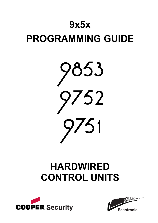# **9x5x PROGRAMMING GUIDE**



# **HARDWIRED CONTROL UNITS**



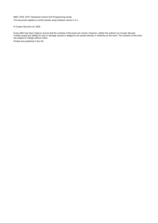9853, 9752, 9751 Hardwired Control Unit Programming Guide This document applies to control panels using software version 4.2.x.

© Cooper Security Ltd. 2005

Every effort has been made to ensure that the contents of this book are correct. However, neither the authors nor Cooper Security Limited accept any liability for loss or damage caused or alleged to be caused directly or indirectly by this book. The contents of this book are subject to change without notice.

Printed and published in the UK.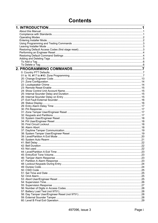# **Contents**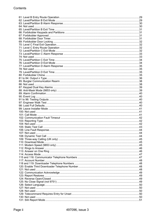| .44 |
|-----|
|     |
|     |
|     |
|     |
|     |
|     |
|     |
|     |
|     |
|     |
|     |
|     |
|     |
|     |
|     |
|     |
|     |
|     |
|     |
|     |
|     |
|     |
|     |
|     |
|     |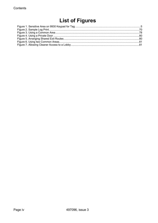# **List of Figures**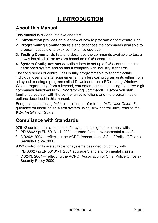# **1. INTRODUCTION**

# **About this Manual**

This manual is divided into five chapters:

- 1. **Introduction** provides an overview of how to program a 9x5x control unit.
- 2. **Programming Commands** lists and describes the commands available to program aspects of a 9x5x control unit's operation.
- 3. **Testing Commands** lists and describes the commands available to test a newly installed alarm system based on a 9x5x control unit.
- 4. **System Configurations** describes how to set up a 9x5x control unit in a partitioned system and so that it complies with industry standards.

The 9x5x series of control units is fully programmable to accommodate individual user and site requirements. Installers can program units either from a keypad or using a program called Downloader on a PC running Windows. When programming from a keypad, you enter instructions using the three-digit commands described in "2. Programming Commands". Before you start, familiarise yourself with the control unit's functions and the programmable options described in this manual.

For guidance on using 9x5x control units, refer to the *9x5x User Guide*. For guidance on installing an alarm system using 9x5x control units, refer to the *9x5x Installation Guide*.

# **Compliance with Standards**

9751/2 control units are suitable for systems designed to comply with:

- ° PD 6662 / prEN 50131-1: 2004 at grade 2 and environmental class 2.
- DD243: 2004 reflecting the ACPO (Association of Chief Police Officers) Security Policy 2000.

9853 control units are suitable for systems designed to comply with:

- ° PD 6662 / prEN 50131-1: 2004 at grade 3 and environmental class 2.
- $\degree$  DD243: 2004 reflecting the ACPO (Association of Chief Police Officers) Security Policy 2000.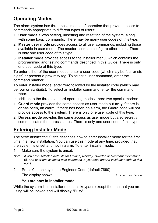# **Operating Modes**

The alarm system has three basic modes of operation that provide access to commands appropriate to different types of users:

- 1. **User mode** allows setting, unsetting and resetting of the system, along with some basic commands. There may be many user codes of this type.
- 2. **Master user mode** provides access to all user commands, including those available in user mode. The master user can configure other users. There is only one user code of this type.
- 3. **Installer mode** provides access to the installer menu, which contains the programming and testing commands described in this Guide. There is only one user code of this type.

To enter either of the user modes, enter a user code (which may be four or six digits) or present a proximity tag. To select a user command, enter the command number.

To enter installer mode, enter zero followed by the installer code (which may be four or six digits). To select an installer command, enter the command number.

In addition to the three standard operating modes, there two special modes:

- 1. **Guard mode** provides the same access as user mode but **only** if there is, or has been, an alarm. If there has been no alarm, the Guard code will not provide access to the system. There is only one user code of this type.
- 2. **Duress mode** provides the same access as user mode but also secretly communicates the duress status. There is only one user code of this type.

# **Entering Installer Mode**

The *9x5x Installation Guide* describes how to enter installer mode for the first time in a new installation. You can use this mode at any time, provided that the system is unset and not in alarm. To enter installer mode:

- 1. Make sure the system is unset.
- *Note: If you have selected defaults for Finland, Norway, Sweden or Denmark (Command 0), or a user has selected user command 3, you must enter a valid user code at this point.*
- 2. Press 0, then key in the Engineer Code (default 7890). The display shows: The display shows:

#### **You are now in installer mode.**

While the system is in installer mode, all keypads except the one that you are using will be locked and will display "Busy".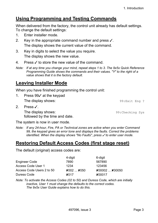# **Using Programming and Testing Commands**

When delivered from the factory, the control unit already has default settings. To change the default settings:

- 1. Enter installer mode.
- 2. Key in the appropriate command number and press  $\checkmark$ . The display shows the current value of the command.
- 3. Key in digits to select the value you require. The display shows the new value.
- 4. Press  $\checkmark$  to store the new value of the command.
- *Note: If at any time you change your mind, repeat steps 1 to 3. The 9x5x Quick Reference Programming Guide shows the commands and their values. "Y" to the right of a value shows that it is the factory default.*

# **Leaving Installer Mode**

When you have finished programming the control unit:

1. Press 99/ at the keypad The display shows:  $99:Exit$  Eng ? 2. Press  $\checkmark$ . The display shows:  $99:$ Checking Sys followed by the time and date.

The system is now in user mode.

*Note: If any 24-hour, Fire, PA or Technical zones are active when you enter Command 99, the keypad gives an error tone and displays the faults. Correct the problems identified. When the display shows "No Faults", press*  $\checkmark$  *to enter user mode.* 

# **Restoring Default Access Codes (first stage reset)**

The default (original) access codes are:

|                           | 4-digit                        | 6-digit                                                         |
|---------------------------|--------------------------------|-----------------------------------------------------------------|
| Engineer Code             | 7890                           | 567890                                                          |
| Access Code User 1        | 1234                           | 123456                                                          |
| Access Code Users 2 to 50 | $\chi$ 002 $\ldots$ $\chi$ 050 | $\boldsymbol{\mathsf{X}}$ 00002 $\boldsymbol{\mathsf{X}}$ 00050 |
| Duress Code               | X <sub>017</sub>               | <b>X00017</b>                                                   |

*Note: To activate the Access Codes (02 to 50) and Duress Code, which are initially inactive, User 1 must change the defaults to the correct codes. The 9x5x User Guide explains how to do this.*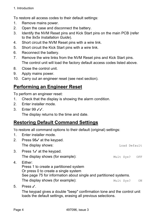1. Introduction

To restore all access codes to their default settings:

- 1. Remove mains power.
- 2. Open the case and disconnect the battery.
- 3. Identify the NVM Reset pins and Kick Start pins on the main PCB (refer to the *9x5x Installation Guide*).
- 4. Short circuit the NVM Reset pins with a wire link.
- 5. Short circuit the Kick Start pins with a wire link.
- 6. Reconnect the battery.
- 7. Remove the wire links from the NVM Reset pins and Kick Start pins. The control unit will load the factory default access codes listed above.
- 8. Close the control unit.
- 9. Apply mains power.
- 10. Carry out an engineer reset (see next section).

# **Performing an Engineer Reset**

To perform an engineer reset:

- 1. Check that the display is showing the alarm condition.
- 2. Enter installer mode.
- 3. Fnter  $99\sqrt{2}$ .

The display returns to the time and date.

# **Restoring Default Command Settings**

To restore all command options to their default (original) settings:

- 1. Enter installer mode.
- 2. Press  $98\checkmark$  at the keypad. The display shows: The display shows: 3. Press 1/ at the keypad. The display shows (for example):  $Mult Sys? OFF$ 4. Either: Press 1 to create a partitioned system Or press 0 to create a single system See page 75 for information about single and partitioned systems. The display shows (for example):  $Mult Sys?$  ON
- 5. Press  $\checkmark$ .

The keypad gives a double "beep" confirmation tone and the control unit loads the default settings, erasing all previous selections.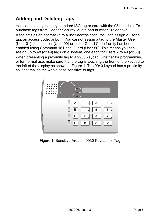# **Adding and Deleting Tags**

You can use any industry-standard ISO tag or card with the 934 module. To purchase tags from Cooper Security, quote part number Proxtagpk5.

A tag acts as an alternative to a user access code. You can assign a user a tag, an access code, or both. You cannot assign a tag to the Master User (User 01), the Installer (User 00) or, if the Guard Code facility has been enabled using Command 181, the Guard (User 50). This means you can assign up to 48 (or 49) tags on a system, one each for Users 2 to 49 (or 50).

When presenting a proximity tag to a 9930 keypad, whether for programming or for normal use, make sure that the tag is touching the front of the keypad to the left of the display as shown in Figure 1. The 9940 keypad has a proximity coil that makes the whole case sensitive to tags.



Figure 1. Sensitive Area on 9930 Keypad for Tag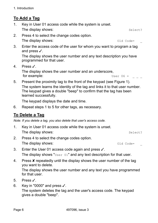# **To Add a Tag**

- 1. Key in User 01 access code while the system is unset. The display shows:  $\qquad \qquad$  Select?
- 2. Press 4 to select the change codes option.
	- The display shows:  $\qquad \qquad \text{Old Code} =$
- 3. Enter the access code of the user for whom you want to program a tag and press  $\checkmark$ .

The display shows the user number and any text description you have programmed for that user.

4. Press y.

The display shows the user number and an underscore, for example:  $Use  $06 =$$ 

5. Present the proximity tag to the front of the keypad (see Figure 1). The system learns the identity of the tag and links it to that user number. The keypad gives a double "beep" to confirm that the tag has been learned successfully.

The keypad displays the date and time.

6. Repeat steps 1 to 5 for other tags, as necessary.

# **To Delete a Tag**

*Note: If you delete a tag, you also delete that user's access code.* 

- 1. Key in User 01 access code while the system is unset. The display shows:  $\qquad \qquad \text{Select?}$
- 2. Press 4 to select the change codes option. The display shows:  $\qquad \qquad \qquad \text{Old Code} =$
- 3. Enter the User 01 access code again and press  $\checkmark$ . The display shows " $User$  01" and any text description for that user.
- 4. Press **X** repeatedly until the display shows the user number of the tag you want to delete.

The display shows the user number and any text you have programmed for that user.

- 5. Press  $\checkmark$ .
- 6. Key in "0000" and press  $\checkmark$ .

The system deletes the tag and the user's access code. The keypad gives a double "beep".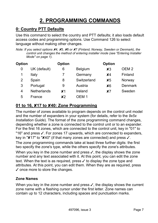# **2. PROGRAMMING COMMANDS**

# **0: Country PTT Defaults**

Use this command to select the country and PTT defaults; it also loads default access codes and programming options. Use Command 126 to select language without making other changes.

*Note: If you select options* X*4,* X*5,* X*6 or* X*7 (Finland, Norway, Sweden or Denmark), the control unit changes the method of entering installer mode (see "Entering Installer Mode" on page 1).* 

| <b>Option</b> |                    | <b>Option</b>  |                | <b>Option</b> |                  |
|---------------|--------------------|----------------|----------------|---------------|------------------|
| 0             | UK (default)       | 6              | <b>Belgium</b> | $x_3$         | OEM <sub>2</sub> |
| 1             | Italy              |                | Germany        | $x_4$         | Finland          |
| 2             | Spain              | 8              | Switzerland    | $x_{5}$       | Norway           |
| 3             | Portugal           | 9              | Austria        | x6            | <b>Denmark</b>   |
| 4             | <b>Netherlands</b> | x <sub>1</sub> | Ireland        | x7            | Sweden           |
| 5             | France             | x <sub>2</sub> | <b>DEM 1</b>   |               |                  |

# **01 to 16,** X**17 to** X**40: Zone Programming**

The number of zones available to program depends on the control unit model and the number of expanders in your system (for details, refer to the *9x5x Installation Guide*). The format of the zone programming command changes, depending whether a zone is connected to the control unit or to an expander. For the first 16 zones, which are connected to the control unit, key in "01" to "16" and press √. For zones 17 upwards, which are connected to expanders, key in " $X17$ " to " $X40$ " (if that many zones are connected) and press  $\checkmark$ .

The zone programming commands take at least three further digits: the first two specify the zone's type, while the others specify the zone's attributes.

When you key in the zone number and press  $\checkmark$ , the display shows the zone number and any text associated with it. At this point, you can edit the zone text. When the text is as required, press  $\checkmark$  to display the zone type and attributes. At this point, you can edit them. When they are as required, press  $\checkmark$  once more to store the changes.

#### **Zone Names**

When you key in the zone number and press  $\checkmark$ , the display shows the current zone name with a flashing cursor under the first letter. Zone names can contain up to 12 characters, including spaces and punctuation marks.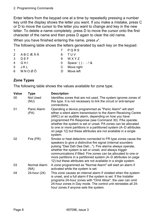Enter letters from the keypad one at a time by repeatedly pressing a number key until the display shows the letter you want. If you make a mistake, press C or D to move the cursor to the letter you want to change and key in the new letter. To delete a name completely, press D to move the cursor onto the first character of the name and then press D again to clear the old name.

When you have finished entering the name, press  $\checkmark$ .

The following table shows the letters generated by each key on the keypad.

- 1 7 PQRS 2 A B C Æ Å Ä STUV 3 DEF 9 WXYZ 4 G H I 0 Space ' ( ) : . - ! &
	-
- 5 J K L C Move right
- 6 M N O Ø Ö **D** Move left

# **Zone Types**

The following table shows the values available for zone type.

| <b>Value</b> | Type                    | <b>Description</b>                                                                                                                                                                                                                                                                                                                                                                                                                                                |
|--------------|-------------------------|-------------------------------------------------------------------------------------------------------------------------------------------------------------------------------------------------------------------------------------------------------------------------------------------------------------------------------------------------------------------------------------------------------------------------------------------------------------------|
| 00           | <b>Not Used</b><br>(NU) | Identifies zones that are not used. The system ignores zones of<br>this type. It is not necessary to link the circuit or anti-tamper<br>connections.                                                                                                                                                                                                                                                                                                              |
| 01           | Panic Alarm<br>(PA)     | Operating a device programmed as "Panic Alarm" will start<br>either a silent alarm transmission to the Alarm Receiving Centre<br>(ARC) or an audible alarm, depending on how you have<br>programmed PA Response (see Command 30). PAs operate,<br>whether the system is set or unset. PA zones can be allocated<br>to one or more partitions in a partitioned system (A–D attributes<br>on page 12) but these attributes are not available in a single<br>system. |
| 02           | Fire (FR)               | Smoke or heat detectors connected to FR type zones cause the<br>speakers to give a distinctive fire signal (internal sounders<br>pulsing "Dee Dah Dee Dah"). Fire alarms always operate,<br>whether the system is set or unset, and always trigger<br>communications if fitted. Fire zones can be allocated to one or<br>more partitions in a partitioned system (A–D attributes on page<br>12) but these attributes are not available in a single system.        |
| 03           | Normal Alarm<br>(NA)    | A zone programmed as "Normal Alarm" will start an alarm if<br>activated while the system is set.                                                                                                                                                                                                                                                                                                                                                                  |
| 04           | 24-hour (24)            | This zone causes an internal alarm if violated when the system<br>is unset, and a full alarm if the system is set. If the Installer<br>programs 24-hour zones with "Omit Allow", the user can omit<br>24-hour zones in Day mode. The control unit reinstates all 24-<br>hour zones if anyone sets the system.                                                                                                                                                     |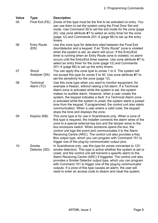| <b>Value</b> | <b>Type</b>                    | <b>Description</b>                                                                                                                                                                                                                                                                                                                                                                                                                                                                                                                                                           |
|--------------|--------------------------------|------------------------------------------------------------------------------------------------------------------------------------------------------------------------------------------------------------------------------------------------------------------------------------------------------------------------------------------------------------------------------------------------------------------------------------------------------------------------------------------------------------------------------------------------------------------------------|
| 05           | Final Exit (FE)                | Zones of this type must be the first to be activated on entry. You<br>can use them to set the system using the Final Door Set exit<br>mode. Use Command 39 to set the exit mode for the zone (page<br>20). Use zone attribute $\angle 7$ to select an entry timer for the zone<br>(page 12) and Commands 201-4 (page 66) to set up the entry<br>timers.                                                                                                                                                                                                                      |
| 06           | <b>Entry Route</b><br>(ER)     | Use this zone type for detectors sited between the Final Exit<br>door/detector and a keypad. If an "Entry Route" zone is violated<br>when the system is set, an alarm will occur. If the Entry/Exit<br>timer is running when an Entry Route zone is violated, no alarm<br>occurs until the Entry/Exit timer expires. Use zone attribute X7 to<br>select an entry timer for the zone (page 12) and Commands<br>201–4 (page 66) to set up the entry timers.                                                                                                                    |
| 07           | <b>Shock</b><br>Analyser (SA)  | You can apply this zone type to zones 1 to 4. The system will<br>not accept this type for zones 5 to 40. Use zone attribute X7 to<br>set the sensitivity for the zone (page 12).                                                                                                                                                                                                                                                                                                                                                                                             |
| 08           | <b>Technical</b><br>Alarm (TC) | Use this zone type when you want to monitor equipment, for<br>example a freezer, without raising a full alarm. If a Technical<br>Alarm zone is activated while the system is set, the system<br>makes no audible alarm. However, when a user unsets the<br>system, the keypad indicates a fault. If a Technical Alarm zone<br>is activated while the system is unset, the system starts a pulsed<br>tone from the keypad. If programmed, the control unit also starts<br>communication. When a user enters a valid code, the keypad<br>stops the tone and displays the zone. |
| 09           | Keybox (KB)                    | This zone type is for use in Scandinavia only. When a zone of<br>this type is required, the Installer connects the alarm wires of the<br>zone to a special external key box and the tamper wires to the<br>box enclosure switch. When someone opens the box, the<br>control unit logs the event and communicates it to the Alarm<br>Receiving Centre (ARC). The control unit also provides a Key<br>Box output type, which you can program with Command 151 to<br>trigger one of the plug-by communicator output pins.                                                       |
| 10           | Smoke<br>Detector (SD)         | In Scandinavia only, use this type for zones connected to 12V<br>smoke detectors. This type is active whether the system is set or<br>unset, and the control unit will transmit a specific alarm to the<br>Alarm Receiving Centre (ARC) if triggered. The control unit also<br>provides a Smoke Detector output type, which you can program<br>with Command 151 to trigger one of the plug-by communicator<br>outputs. If a zone of this type causes an alarm, the user will<br>need to enter an access code to disarm and reset the system.                                 |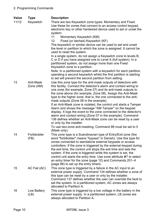**Value Type Description**  11/12 Keyswitch There are two Keyswitch zone types: Momentary and Fixed. Use these for zones that connect to an access control keypad, electronic key or other hardwired device used to set or unset the system: 11 Momentary Keyswitch (KM) 12 Fixed (or latched) Keyswitch (KF) The keyswitch or similar device can be used to set and unset the level or partition to which the zone is assigned. It cannot be used to reset the system. In a single system, do not assign a Keyswitch zone to levels B, C or D if you have assigned one to Level A (full system). In a partitioned system, do not assign more than one Fixed Keyswitch zone to a partition. Note: In a partitioned system with a keyswitch for each partition, operating a second keyswitch whilst the first partition is starting to set will prevent the second partition from setting. 13 Anti-Mask Zone (AM) Use this zone type for the anti-mask outputs of detectors with this facility. Connect the detector's alarm and contact wiring to one zone (for example, Zone 07) and its anti-mask outputs to the zone above (for example, Zone 08). Assign the Anti-Mask type to the higher zone; that is, the one connected to the antimask outputs (Zone 08 in the example). If an Anti-Mask zone is violated, the control unit starts a Tamper Alarm and shows the message "AM Tamper" on the keypad display. It logs the event to the zone connected to the detector's alarm and contact wiring (Zone 07 in the example). Command 136 defines whether an Anti-Mask zone can be reset by a user or only by the installer. To use two-zone anti-masking, Command 88 must be set to 0 (Mask only). 14 Forbikobler (FB) This zone type is a Scandinavian type of Entry/Exit zone (the word "forbikobler" means "bypass" in Danish). Use this type for zones connected to standalone external keypads or access controllers. If the zone is triggered by the external keypad during the exit time, the control unit stops the exit time and sets the system. If the zone is triggered while the system is set, the control unit starts the entry time. Use zone attribute X7 to select an entry timer for the zone (page 12) and Commands  $201-4$ (page 66) to set up the entry timers. 15 AC Fail (AC) This zone type is triggered by a failure in the AC input to an external power supply. Command 134 defines whether a zone of this type can be reset by a user or only by the installer. Command 137 defines whether the user can override the fault to set the system. In a partitioned system, AC zones are always allocated to Partition A. 16 Low Battery (LB) This zone type is triggered by a low voltage in the battery in the external power supply. In a partitioned system, LB zones are always allocated to Partition A.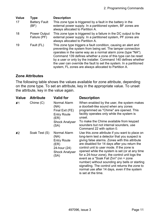| <b>Value</b> | <b>Type</b>                         | <b>Description</b>                                                                                                                                                                                                                                                                                                                                                                                                                                                |
|--------------|-------------------------------------|-------------------------------------------------------------------------------------------------------------------------------------------------------------------------------------------------------------------------------------------------------------------------------------------------------------------------------------------------------------------------------------------------------------------------------------------------------------------|
| 17           | <b>Battery Fault</b><br>(BF)        | This zone type is triggered by a fault in the battery in the<br>external power supply. In a partitioned system, BF zones are<br>always allocated to Partition A.                                                                                                                                                                                                                                                                                                  |
| 18           | <b>Power Output</b><br>Failure (PF) | This zone type is triggered by a failure in the DC output to the<br>external power supply. In a partitioned system, PF zones are<br>always allocated to Partition A.                                                                                                                                                                                                                                                                                              |
| 19           | Fault (FL)                          | This zone type triggers a fault condition, causing an alert and<br>preventing the system from being set. The tamper connection<br>operates in the same way as a normal alarm zone (type "NA").<br>Command 139 defines whether a zone of this type can be reset<br>by a user or only by the installer. Command 140 defines whether<br>the user can override the fault to set the system. In a partitioned<br>system, FL zones are always allocated to Partition A. |

#### **Zone Attributes**

The following table shows the values available for zone attribute, depending on the zone type. To set an attribute, key in the appropriate value. To unset the attribute, key in the value again.

| <b>Value</b>   | <b>Attribute</b> | <b>Valid for</b>                                                                                       | <b>Description</b>                                                                                                                                                                                                                                                                                                                                                                                                                                                                                                                                                         |
|----------------|------------------|--------------------------------------------------------------------------------------------------------|----------------------------------------------------------------------------------------------------------------------------------------------------------------------------------------------------------------------------------------------------------------------------------------------------------------------------------------------------------------------------------------------------------------------------------------------------------------------------------------------------------------------------------------------------------------------------|
| x <sub>1</sub> | Chime(C)         | Normal Alarm<br>(NA)<br>Final Exit (FE)<br><b>Entry Route</b><br>(ER)<br><b>Shock Analyser</b><br>(SA) | When enabled by the user, the system makes<br>a doorbell-like sound when any zones<br>programmed as "Chime" are opened. This<br>facility operates only while the system is<br>unset.<br>To make the Chime available from keypad<br>sounders but not internal sounders, use<br>Command 22 with option 0.                                                                                                                                                                                                                                                                    |
| x <sub>2</sub> | Soak Test (S)    | Normal Alarm<br>(NA)<br><b>Entry Route</b><br>(ER)<br>24-hour (24)<br><b>Shock Analyser</b><br>(SA)    | Use this zone attribute if you want to place on<br>long-term test a detector that you suspect is<br>giving false alarms. Zones with this attribute<br>are disabled for 14 days after you return the<br>control unit to user mode. If the zone is<br>opened while the system is set (or at any time<br>for a 24-hour zone), the control unit logs the<br>event as a "Soak Fail Znn" (nn = zone<br>number) without sounding any bells or starting<br>signalling. The control unit returns the zone to<br>normal use after 14 days, even if the system<br>is set at the time. |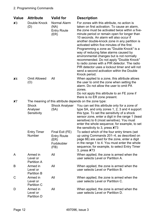| <b>Value</b> | <b>Attribute</b>                                        | <b>Valid for</b>                                                     | <b>Description</b>                                                                                                                                                                                                                                                                                                                                                                                                                                                                                                                                                                                                                                                                           |  |  |
|--------------|---------------------------------------------------------|----------------------------------------------------------------------|----------------------------------------------------------------------------------------------------------------------------------------------------------------------------------------------------------------------------------------------------------------------------------------------------------------------------------------------------------------------------------------------------------------------------------------------------------------------------------------------------------------------------------------------------------------------------------------------------------------------------------------------------------------------------------------------|--|--|
| $x_3$        | Double Knock<br>(D)                                     | <b>Normal Alarm</b><br>(NA)<br><b>Entry Route</b><br>(ER)            | For zones with this attribute, no action is<br>taken on first activation. To cause an alarm,<br>the zone must be activated twice within a five-<br>minute period or remain open for longer than<br>10 seconds. An alarm will also occur if<br>another double-knock zone in any partition is<br>activated within five minutes of the first.<br>Programming a zone as "Double Knock" is a<br>way of reducing false alarms caused by<br>environmental changes but is not normally<br>recommended. Do not apply "Double Knock"<br>to radio zones with a PIR detector. The radio<br>PIR detector uses a lockout timer and will not<br>send a second activation within the Double<br>Knock period. |  |  |
| $x_4$        | <b>Omit Allowed</b><br>(O)                              | All                                                                  | When applied to a zone, this attribute allows<br>the user to omit the zone when setting the<br>alarm. Do not allow the user to omit PA<br>zones.<br>Do not apply this attribute to an FE zone if<br>there is no ER zone present.                                                                                                                                                                                                                                                                                                                                                                                                                                                             |  |  |
| x7           | The meaning of this attribute depends on the zone type: |                                                                      |                                                                                                                                                                                                                                                                                                                                                                                                                                                                                                                                                                                                                                                                                              |  |  |
|              | <b>Shock</b><br>Analyser<br>Sensitivity                 | <b>Shock Analyser</b><br>(SA)                                        | You can set this attribute only for a zone of<br>type SA, and only zones 1, 2, 3 and 4 support<br>this type. To set the sensitivity of a shock<br>sensor zone, enter a digit in the range 1 (least<br>sensitive) to 6 (most sensitive). You must<br>enter the whole sequence; for example, to set<br>the sensitivity to 3, press ×73                                                                                                                                                                                                                                                                                                                                                         |  |  |
|              | <b>Entry Timer</b><br>Number                            | Final Exit (FE)<br><b>Entry Route</b><br>(ER)<br>Forbikobler<br>(FB) | To select which of the four entry timers (set<br>up using Commands 201–4, as described on<br>page 66) are used for the zone, enter a digit<br>in the range 1 to 4. You must enter the whole<br>sequence; for example, to select Entry Timer<br>3, press <b>X</b> 73                                                                                                                                                                                                                                                                                                                                                                                                                          |  |  |
| A            | Armed in<br>Level or<br><b>Partition A</b>              | All                                                                  | When applied, the zone is armed when the<br>user selects Level or Partition A.                                                                                                                                                                                                                                                                                                                                                                                                                                                                                                                                                                                                               |  |  |
| B            | Armed in<br>Level or<br><b>Partition B</b>              | All                                                                  | When applied, the zone is armed when the<br>user selects Level or Partition B.                                                                                                                                                                                                                                                                                                                                                                                                                                                                                                                                                                                                               |  |  |
| C            | Armed in<br>Level or<br><b>Partition C</b>              | All                                                                  | When applied, the zone is armed when the<br>user selects Level or Partition C.                                                                                                                                                                                                                                                                                                                                                                                                                                                                                                                                                                                                               |  |  |
| D            | Armed in<br>Level or<br>Partition D                     | All                                                                  | When applied, the zone is armed when the<br>user selects Level or Partition D.                                                                                                                                                                                                                                                                                                                                                                                                                                                                                                                                                                                                               |  |  |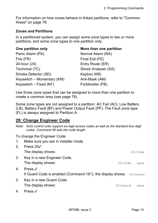For information on how zones behave in linked partitions, refer to "Common Areas" on page 78.

#### **Zones and Partitions**

In a partitioned system, you can assign some zone types to two or more partitions, and some zone types to one partition only.

| Panic Alarm (PA)           |
|----------------------------|
| Fire (FR)                  |
| 24-hour (24)               |
| Technical (TC)             |
| Smoke Detector (SD)        |
| Keyswitch – Momentary (KM) |
| Keyswitch – Fixed (KF)     |

#### **One partition only example 3 and More than one partition**

Normal Alarm (NA) Final Exit (FE) Entry Route (ER) Shock Analyser (SA) Keybox (KB) Anti-Mask (AM) Forbikobler (FB)

Use those zone types that can be assigned to more than one partition to create a common area (see page 78).

Some zone types are not assigned to a partition: AC Fail (AC), Low Battery (LB), Battery Fault (BF) and Power Output Fault (PF). The Fault zone type (FL) is always assigned to Partition A.

#### **20: Change Engineer Code**

*Note: 9x5x control units support six-digit access codes as well as the standard four-digit codes. Command 56 sets the code length.* 

To change the Engineer Code:

| $1_{\cdot}$    | Make sure you are in installer mode.                                                       |             |             |
|----------------|--------------------------------------------------------------------------------------------|-------------|-------------|
| 2 <sub>1</sub> | Press 20√<br>The display shows:                                                            |             | 20:Code     |
| 3 <sub>1</sub> | Key in a new Engineer Code.<br>The display shows:                                          | 20:Code     | <b>XXXX</b> |
| 4 <sub>1</sub> | Press $\checkmark$<br>If Guard Code is enabled (Command 181), the display shows: 20: Guard |             |             |
| 3.             | Key in a new Guard Code.<br>The display shows:                                             | $20:$ Guard | <b>XXXX</b> |

4. Press y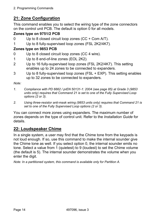# **21: Zone Configuration**

This command enables you to select the wiring type of the zone connectors on the control unit PCB. The default is option 0 for all models.

#### **Zones type on 9751/2 PCB**

- 0 Up to 8 closed circuit loop zones (CC + Com A/T).
- 1 Up to 8 fully-supervised loop zones (FSL 2K2/4K7).

#### **Zones type on 9853 PCB**

- 0 Up to 8 closed circuit loop zones (CC 4 wire).
- 1 Up to 8 end-of-line zones (EOL 2K2).
- 2 Up to 16 fully-supervised loop zones (FSL 2K2/4K7). This setting enables up to 24 zones to be connected to expanders.
- 3 Up to 8 fully-supervised loop zones (FSL + EXP). This setting enables up to 32 zones to be connected to expanders.

*Note:* 

- *1. Compliance with PD 6662 / prEN 50131-1: 2004 (see page 85) at Grade 3 (9853 units only) requires that Command 21 is set to one of the Fully Supervised Loop options (2 or 3).*
- *2. Using three-resistor anti-mask wiring (9853 units only) requires that Command 21 is set to one of the Fully Supervised Loop options (2 or 3).*

You can connect more zones using expanders. The maximum number of zones depends on the type of control unit. Refer to the *Installation Guide* for details.

# **22: Loudspeaker Chime**

In a single system, a user may find that the Chime tone from the keypads is not loud enough. If so, use this command to make the internal sounder give the Chime tone as well. If you select option 0, the internal sounder emits no tone. Select a value from 1 (quietest) to 9 (loudest) to set the Chime volume (the default is 5). The internal sounder demonstrates the volume when you enter the digit.

*Note: In a partitioned system, this command is available only for Partition A.*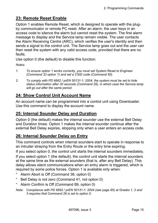# **23: Remote Reset Enable**

Option 1 enables Remote Reset, which is designed to operate with the plugby communicator or remote PC reset. After an alarm, the user keys in an access code to silence the alarm but cannot reset the system. The first alarm message to display and the Service lamp remain visible. The user contacts the Alarm Receiving Centre (ARC), which verifies the user's identity and then sends a signal to the control unit. The Service lamp goes out and the user can then reset the system with any valid access code, provided that there are no faults.

Use option 0 (the default) to disable this function.

*Notes:* 

- *1. To ensure option 1 works correctly, you must set System Reset to Engineer (Command 33 option 1) and set a CSID code (Command 50).*
- *2. To comply with PD 6662 / prEN 50131-1: 2004, the system must be set to hide status information after 30 seconds (Command 28), in which case the Service lamp will go out after the same period.*

# **24: Show Control Unit Account Name**

An account name can be programmed into a control unit using Downloader. Use this command to display the account name.

#### **25: Internal Sounder Delay and Duration**

Option 0 (the default) makes the internal sounder use the external Bell Delay and Duration times. Option 1 makes the internal sounder continue after the external Bell Delay expires, stopping only when a user enters an access code.

# **26: Internal Sounder Delay on Entry**

This command controls when internal sounders start to operate in response to an intruder straying from the Entry Route or the entry time expiring.

If you select option 0, the control unit starts the internal sounders immediately. If you select option 1 (the default), the control unit starts the internal sounders at the same time as the external sounders (that is, after any Bell Delay). This delay allows silent communications when an entry alarm is triggered, which is required by some police forces. Option 1 is available only when:

- ° Alarm Abort is Off (Command 36, option 0)
- ° Bell Delay is not zero (Command 41, not option 0)
- ° Alarm Confirm is Off (Command 89, option 0)

*Note: Compliance with PD 6662 / prEN 50131-1: 2004 (see page 85) at Grades 1, 2 and 3 requires that Command 26 is set to option 0.*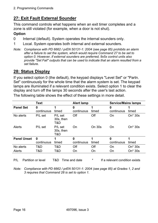# **27: Exit Fault External Sounder**

This command controls what happens when an exit timer completes and a zone is still violated (for example, when a door is not shut).

#### **Option**

- 0 Internal (default). System operates the internal sounders only.
- 1 Local. System operates both internal and external sounders.
- *Note: Compliance with PD 6662 / prEN 50131-1: 2004 (see page 85) prohibits an alarm after a failure to set the system, which would require Command 27 to be set to option 0. However, if external sounders are preferred, 9x5x control units also provide "Set Fail" outputs that can be used to indicate that an alarm resulted from a set failure.*

#### **28: Status Display**

If you select option 0 (the default), the keypad displays "Level Set" or "Partn. Set" continuously for the whole time that the alarm system is set. The keypad lamps are illuminated if a relevant condition exists. Select option 1 to clear the display and turn off the lamps 30 seconds after the user's last action.

|                    | <b>Text</b>               |                             | <b>Alert lamp</b> |               | <b>Service/Mains lamps</b> |                     |
|--------------------|---------------------------|-----------------------------|-------------------|---------------|----------------------------|---------------------|
| <b>Panel Set</b>   | 0<br>continuous           | timed                       | 0<br>continuous   | timed         | 0<br>continuous            | timed               |
| No alerts          | P/L set                   | P/L set<br>30s, then<br>T&D | Off               | Off           | On                         | On* 30s             |
| Alerts             | P/L set                   | P/L set<br>30s, then<br>T&D | On                | <b>On 30s</b> | On                         | On* 30s             |
| <b>Panel Unset</b> | $\mathbf 0$<br>continuous | timed                       | 0<br>continuous   | 1<br>timed    | 0<br>continuous            | timed               |
| No alerts          | T&D                       | T&D                         | Off               | Off           | On                         | On <sup>*</sup> 30s |
| Alerts             | T&D                       | T&D                         | On                | On            | On                         | On* 30s             |

The following table shows the effect of these settings in more detail.

P/L Partition or level T&D Time and date  $\overline{a}$  if a relevant condition exists

*Note: Compliance with PD 6662 / prEN 50131-1: 2004 (see page 85) at Grades 1, 2 and 3 requires that Command 28 is set to option 1.*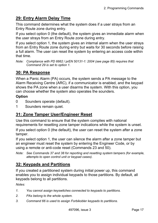# **29: Entry Alarm Delay Time**

This command determines what the system does if a user strays from an Entry Route zone during entry.

If you select option 0 (the default), the system gives an immediate alarm when the user strays from an Entry Route zone during entry.

If you select option 1, the system gives an internal alarm when the user strays from an Entry Route zone during entry but waits for 30 seconds before raising a full alarm. The user can reset the system by entering an access code within that time.

*Note: Compliance with PD 6662 / prEN 50131-1: 2004 (see page 85) requires that Command 29 is set to option 1.* 

# **30: PA Response**

When a Panic Alarm (PA) occurs, the system sends a PA message to the Alarm Receiving Centre (ARC), if a communicator is enabled, and the keypad shows the PA zone when a user disarms the system. With this option, you can choose whether the system also operates the sounders.

#### **Option**

- 0 Sounders operate (default).
- 1 Sounders remain quiet.

# **31: Zone Tamper User/Engineer Reset**

Use this command to ensure that the system complies with national requirements for resetting zone tamper indications while the system is unset.

If you select option 0 (the default), the user can reset the system after a zone tamper.

If you select option 1, the user can silence the alarm after a zone tamper but an engineer must reset the system by entering the Engineer Code, or by using a remote or anti-code reset (Commands 23 and 50).

*Note: See Commands 37 and 38 for reporting and resetting system tampers (for example, attempts to open control unit or keypad cases).* 

# **32: Keypads and Partitions**

If you created a partitioned system during initial power up, this command enables you to assign individual keypads to those partitions. By default, all keypads belong to all partitions.

*Notes:* 

- *1. You cannot assign keyswitches connected to keypads to partitions.*
- *2. PAs belong to the whole system.*
- *3. Command 66 is used to assign Forbikobler keypads to partitions.*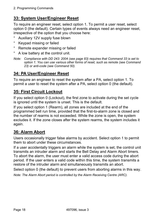# **33: System User/Engineer Reset**

To require an engineer reset, select option 1. To permit a user reset, select option 0 (the default). Certain types of events always need an engineer reset, irrespective of the option that you choose here:

- ° Auxiliary 12V supply fuse blown
- ° Keypad missing or failed
- ° Remote expander missing or failed
- ° A low battery at the control unit.
- *Note: Compliance with DD 243: 2004 (see page 83) requires that Command 33 is set to option 1. You can use various other forms of reset, such as remote (see Command 23) or anti-code (see Command 50).*

# **34: PA User/Engineer Reset**

To require an engineer to reset the system after a PA, select option 1. To permit a user to reset the system after a PA, select option 0 (the default).

# **35: First Circuit Lockout**

If you select option 0 (Lockout), the first zone to activate during the set cycle is ignored until the system is unset. This is the default.

If you select option 1 (Rearm), all zones are included at the end of the programmed bell run time, provided that the first-to-alarm zone is closed and the number of rearms is not exceeded. While the zone is open, the system excludes it. If the zone closes after the system rearms, the system includes it again.

# **36: Alarm Abort**

Users occasionally trigger false alarms by accident. Select option 1 to permit them to abort under these circumstances.

If a user accidentally triggers an alarm while the system is set, the control unit transmits an intruder alarm and starts the Bell Delay and Alarm Abort timers. To abort the alarm, the user must enter a valid access code during the abort period. If the user enters a valid code within this time, the system transmits a restore of the intruder alarm and simultaneously transmits an abort.

Select option 0 (the default) to prevent users from aborting alarms in this way.

*Note: The Alarm Abort period is controlled by the Alarm Receiving Centre (ARC).*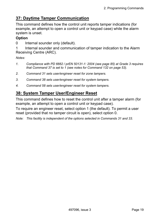# **37: Daytime Tamper Communication**

This command defines how the control unit reports tamper indications (for example, an attempt to open a control unit or keypad case) while the alarm system is unset.

#### **Option**

0 Internal sounder only (default).

1 Internal sounder and communication of tamper indication to the Alarm Receiving Centre (ARC).

#### *Notes:*

- *1. Compliance with PD 6662 / prEN 50131-1: 2004 (see page 85) at Grade 3 requires that Command 37 is set to 1 (see notes for Command 132 on page 53).*
- *2. Command 31 sets user/engineer reset for zone tampers.*
- *3. Command 38 sets user/engineer reset for system tampers.*
- *4. Command 58 sets user/engineer reset for system tampers.*

# **38: System Tamper User/Engineer Reset**

This command defines how to reset the control unit after a tamper alarm (for example, an attempt to open a control unit or keypad case).

To require an engineer reset, select option 1 (the default). To permit a user reset (provided that no tamper circuit is open), select option 0.

*Note: This facility is independent of the options selected in Commands 31 and 33.*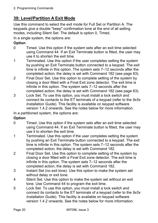# **39: Level/Partition A Exit Mode**

Use this command to select the exit mode for Full Set or Partition A. The keypads give a double "beep" confirmation tone at the end of all setting modes, including Silent Set. The default is option 0, Timed.

In a single system, the options are:

#### **Option**

- 0 Timed. Use this option if the system sets after an exit time selected using Command 44. If an Exit Terminate button is fitted, the user may use it to shorten the exit time.
- 1 Terminated. Use this option if the user completes setting the system by pushing an Exit Terminate button connected to a keypad. The exit time is infinite in this option. The system sets  $7-12$  seconds after the completed action; the delay is set with Command 182 (see page 63).
- 2 Final Door Set. Use this option to complete setting of the system by closing a door fitted with a Final Exit zone detector. The exit time is infinite in this option. The system sets 7-12 seconds after the completed action; the delay is set with Command 182 (see page 63).
- 3 Lock Set. To use this option, you must install a lock switch and connect its contacts to the ET terminals of a keypad (refer to the *9x5x Installation Guide*). This facility is available on keypad software version 1.4.2 onwards. See the notes below for more information.

In a partitioned system, the options are:

#### **Option**

- 0 Timed. Use this option if the system sets after an exit time selected using Command 44. If an Exit Terminate button is fitted, the user may use it to shorten the exit time.
- 1 Terminated. Use this option if the user completes setting the system by pushing an Exit Terminate button connected to a keypad. The exit time is infinite in this option. The system sets  $7-12$  seconds after the completed action; the delay is set with Command 182.
- 2 Final Door Set. Use this option to complete setting of the system by closing a door fitted with a Final Exit zone detector. The exit time is infinite in this option. The system sets  $7-12$  seconds after the completed action; the delay is set with Command 182.
- 3 Instant Set (no exit tone). Use this option to make the system set without delay or exit tone.
- 4 Silent Set. Use this option to make the system set without an exit tone. Use Command 44 to program the exit time.
- 5 Lock Set. To use this option, you must install a lock switch and connect its contacts to the ET terminals of a keypad (refer to the *9x5x Installation Guide*). This facility is available on keypad software version 1.4.2 onwards. See the notes below for more information.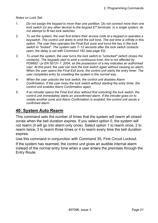*Notes on Lock Set:* 

- *1. Do not assign the keypad to more than one partition. Do not connect more than one lock switch (or any other device) to the keypad ET terminals. In a single system, do not attempt to fit two lock switches.*
- *2. To set the system, the user first enters their access code at a keypad or operates a keyswitch. The control unit starts to emit the exit tone. The exit time is infinite in this option. The user then operates the Final Exit zone and turns the key in the lock*  switch to "locked". The system sets 7–12 seconds after the lock switch contacts *open; the delay is set with Command 182 (see page 63).*
- *3. To unset the system, the user turns the lock switch to "unlocked" (which closes the contacts). The keypads start to emit a continuous tone; this is not affected by PD6662 / pr EN 50131-1: 2004, as the possession of a key indicates an authorised user. At this point, the user can lock the lock switch again without causing an alarm. When the user opens the Final Exit zone, the control unit starts the entry timer. The user completes entry by unsetting the system in the normal way.*
- *4. When the user unlocks the lock switch, the control unit disables Alarm Confirmation. If the user locks the lock switch without starting the entry timer, the control unit enables Alarm Confirmation again.*
- *5. If an intruder opens the Final Exit door without first unlocking the lock switch, the control unit immediately starts an unconfirmed alarm. If the intruder goes on to violate another zone and Alarm Confirmation is enabled, the control unit sends a confirmed alarm.*

#### **40: System Auto Rearm**

This command sets the number of times that the system will rearm all closed zones when the bell duration expires. If you select option 0, the system will not rearm (it will go into alarm only once). Select option 1 to rearm once, 2 to rearm twice, 3 to rearm three times or 4 to rearm every time the bell duration expires.

Use this command in conjunction with Command 35, First Circuit Lockout. If the system has rearmed, the control unit gives an audible internal alarm instead of the normal entry tone when a user enters the premises through the Entry Route.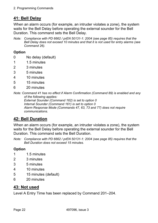# **41: Bell Delay**

When an alarm occurs (for example, an intruder violates a zone), the system waits for the Bell Delay before operating the external sounder for the Bell Duration. This command sets the Bell Delay.

*Note: Compliance with PD 6662 / prEN 50131-1: 2004 (see page 85) requires that the Bell Delay does not exceed 10 minutes and that it is not used for entry alarms (see Command 26).* 

#### **Option**

- 0 No delay (default)
- 1 1.5 minutes
- 2 3 minutes
- 3 5 minutes
- 4 10 minutes
- 5 15 minutes
- 6 20 minutes

*Note: Command 41 has no effect if Alarm Confirmation (Command 89) is enabled and any of the following applies: External Sounder (Command 162) is set to option 0 Internal Sounder (Command 161) is set to option 0* 

*Alarm Response Mode (Commands 47, 63, 73 and 77) does not require communications.* 

# **42: Bell Duration**

When an alarm occurs (for example, an intruder violates a zone), the system waits for the Bell Delay before operating the external sounder for the Bell Duration. This command sets the Bell Duration.

*Note: Compliance with PD 6662 / prEN 50131-1: 2004 (see page 85) requires that the Bell Duration does not exceed 15 minutes.* 

#### **Option**

- 1 1.5 minutes
- 2 3 minutes
- 3 5 minutes
- 4 10 minutes
- 5 15 minutes (default)
- 6 20 minutes

#### **43: Not used**

Level A Entry Time has been replaced by Command 201-204.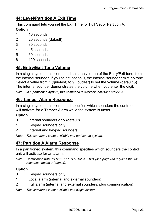# **44: Level/Partition A Exit Time**

This command lets you set the Exit Time for Full Set or Partition A.

#### **Option**

- 1 10 seconds
- 2 20 seconds (default)
- 3 30 seconds
- 4 45 seconds
- 5 60 seconds
- 6 120 seconds

# **45: Entry/Exit Tone Volume**

In a single system, this command sets the volume of the Entry/Exit tone from the internal sounder. If you select option 0, the internal sounder emits no tone. Select a value from 1 (quietest) to 9 (loudest) to set the volume (default 5). The internal sounder demonstrates the volume when you enter the digit.

*Note: In a partitioned system, this command is available only for Partition A.* 

#### **46: Tamper Alarm Response**

In a single system, this command specifies which sounders the control unit will activate for a Tamper Alarm while the system is unset.

#### **Option**

- 0 Internal sounders only (default)
- 1 Keypad sounders only
- 2 Internal and keypad sounders

*Note: This command is not available in a partitioned system.* 

#### **47: Partition A Alarm Response**

In a partitioned system, this command specifies which sounders the control unit will activate for an alarm.

*Note: Compliance with PD 6662 / prEN 50131-1: 2004 (see page 85) requires the full response, option 2 (default).* 

#### **Option**

- 0 Keypad sounders only
- 1 Local alarm (internal and external sounders)
- 2 Full alarm (internal and external sounders, plus communication)

*Note: This command is not available in a single system.*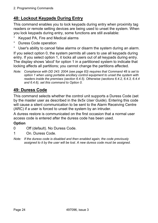# **48: Lockout Keypads During Entry**

This command enables you to lock keypads during entry when proximity tag readers or remote setting devices are being used to unset the system. When you lock keypads during entry, some functions are still available:

- ° Keypad PA, Fire and Medical alarms
- ° Duress Code operation

° User's ability to cancel false alarms or disarm the system during an alarm. If you select option 0, the system permits all users to use all keypads during entry. If you select option 1, it locks all users out of all keypads during entry. The display shows 'abcd' for option 1 in a partitioned system to indicate that locking affects all partitions; you cannot change the partitions affected.

*Note: Compliance with DD 243: 2004 (see page 83) requires that Command 48 is set to option 1 when using portable ancillary control equipment to unset the system with readers inside the premises (section 6.4.5). Otherwise (sections 6.4.2, 6.4.3, 6.4.4 and 6.4.6), set this command to Option 0.* 

# **49: Duress Code**

This command selects whether the control unit supports a Duress Code (set by the master user as described in the *9x5x User Guide*). Entering this code will cause a silent communication to be sent to the Alarm Receiving Centre (ARC) if a user is forced to unset the system by an intruder.

A duress restore is communicated on the first occasion that a normal user access code is entered after the duress code has been used.

#### **Option**

- 0 Off (default). No Duress Code.
- 1 On. Duress Code.
- *Note: If the duress code is disabled and then enabled again, the code previously assigned to it by the user will be lost. A new duress code must be assigned.*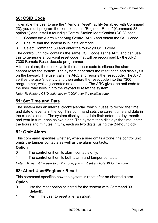# **50: CSID Code**

To enable the user to use the "Remote Reset" facility (enabled with Command 23), you must program the control unit as "Engineer Reset" (Command 33 option 1) and install a four-digit Central Station Identification (CSID) code:

- 1. Contact the Alarm Receiving Centre (ARC) and obtain the CSID code.
- 2. Ensure that the system is in installer mode.
- 3. Select Command 50 and enter the four-digit CSID code.

The control unit now contains the same CSID code as the ARC and can use this to generate a four-digit reset code that will be recognised by the ARC 7300 Remote Reset decode programmer.

After an alarm, the user keys in their access code to silence the alarm but cannot reset the system. The system generates the reset code and displays it on the keypad. The user calls the ARC and reports the reset code. The ARC verifies the user's identity and then enters the reset code into the 7300 programmer, which generates an anti-code. The ARC gives the anti-code to the user, who keys it into the keypad to reset the system.

*Note: To delete a CSID code, key in "0000" over the existing code.* 

# **51: Set Time and Date**

The system has an internal clock/calendar, which it uses to record the time and date of events in the log. This command sets the current time and date in the clock/calendar. The system displays the date first: enter the day, month and year in turn, each as two digits. The system then displays the time: enter the hours and minutes in turn, each as two digits (using the 24-hour clock).

# **52: Omit Alarm**

This command specifies whether, when a user omits a zone, the control unit omits the tamper contacts as well as the alarm contacts.

#### **Option**

- 0 The control unit omits alarm contacts only.
- 1 The control unit omits both alarm and tamper contacts.

*Note:* To permit the user to omit a zone, you must set attribute **X**4 for the zone.

# **53: Abort User/Engineer Reset**

This command specifies how the system is reset after an aborted alarm. **Option** 

- 0 Use the reset option selected for the system with Command 33 (default).
- 1 Permit the user to reset after an abort.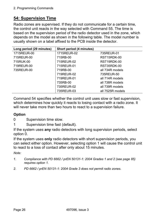# **54: Supervision Time**

Radio zones are supervised. If they do not communicate for a certain time, the control unit reacts in the way selected with Command 55. The time is based on the supervision period of the radio detector used in the zone, which depends on the model as shown in the following table. The model number is usually shown on a label affixed to the PCB inside the detector.

| Long period (29 minutes) | Short period (4 minutes) |                  |  |
|--------------------------|--------------------------|------------------|--|
| 1715REUR-00              | 1715REUR-02              | 735REUR-01       |  |
| 715REUR-00               | 715RB-00                 | RST15RDK-00      |  |
| 715RUK-00                | 715REUR-02               | RST19RDK-00      |  |
| 719REUR-00               | 715REUR-01               | RST35RDK-00      |  |
| 735REUR-00               | 719RB-00                 | all 734R models  |  |
|                          | 719REUR-02               | 735REUR-50       |  |
|                          | 719REUR-01               | all 714R models  |  |
|                          | 735RB-00                 | all 738R models  |  |
|                          | 735REUR-02               | all 739R models  |  |
|                          | 735REUR-03               | all 7525R models |  |

Command 54 specifies whether the control unit uses slow or fast supervision, which determines how quickly it reacts to losing contact with a radio zone. It will never take more than two hours to react to a supervision failure.

#### **Option**

0 Supervision time slow.

1 Supervision time fast (default).

If the system uses **any** radio detectors with long supervision periods, select option 0.

If the system uses **only** radio detectors with short supervision periods, you can select either option. However, selecting option 1 will cause the control unit to react to a loss of contact after only about 15 minutes.

*Note:* 

- *1. Compliance with PD 6662 / prEN 50131-1: 2004 Grades 1 and 2 (see page 85) requires option 1.*
- *2. PD 6662 / prEN 50131-1: 2004 Grade 3 does not permit radio zones.*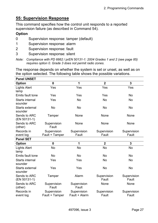# **55: Supervision Response**

This command specifies how the control unit responds to a reported supervision failure (as described in Command 54).

#### **Option**

- 0 Supervision response: tamper (default)
- 1 Supervision response: alarm
- 2 Supervision response: fault
- 3 Supervision response: silent
- *Note: Compliance with PD 6662 / prEN 50131-1: 2004 Grades 1 and 2 (see page 85) requires option 0. Grade 3 does not permit radio zones.*

The response depends on whether the system is set or unset, as well as on the option selected. The following table shows the possible variations.

| <b>Panel UNSET</b>                |                               |                              |                         |                      |  |  |  |
|-----------------------------------|-------------------------------|------------------------------|-------------------------|----------------------|--|--|--|
| <b>Option</b>                     | $\mathbf 0$                   | 1                            | $\overline{2}$          | $\mathbf{3}$         |  |  |  |
| <b>Lights Alert</b><br>lamp       | Yes                           | Yes                          | Yes                     | Yes                  |  |  |  |
| <b>Emits fault tone</b>           | Yes                           | Yes                          | Yes                     | <b>No</b>            |  |  |  |
| <b>Starts internal</b><br>sounder | Yes                           | <b>No</b>                    | <b>No</b>               | <b>No</b>            |  |  |  |
| <b>Starts external</b><br>sounder | <b>No</b>                     | <b>No</b>                    | <b>No</b>               | <b>No</b>            |  |  |  |
| Sends to ARC<br>(EN 50131-1)      | Tamper                        | None                         | None                    | None                 |  |  |  |
| Sends to ARC<br>(other)           | Supervision<br>Fault          | None                         | None                    | None                 |  |  |  |
| Records in                        | Supervision                   | Supervision                  | Supervision             | Supervision          |  |  |  |
| event log                         | Fault + Tamper                | Fault                        | Fault                   | Fault                |  |  |  |
| <b>Panel SET</b>                  |                               |                              |                         |                      |  |  |  |
| <b>Option</b>                     | $\mathbf 0$                   | 1                            | $\overline{\mathbf{2}}$ | 3                    |  |  |  |
| <b>Lights Alert</b><br>lamp       | <b>No</b>                     | <b>No</b>                    | <b>No</b>               | <b>No</b>            |  |  |  |
| <b>Emits fault tone</b>           | <b>No</b>                     | <b>No</b>                    | <b>No</b>               | <b>No</b>            |  |  |  |
| <b>Starts internal</b><br>sounder | Yes                           | Yes                          | <b>No</b>               | <b>No</b>            |  |  |  |
| <b>Starts external</b><br>sounder | Yes                           | Yes                          | <b>No</b>               | <b>No</b>            |  |  |  |
| Sends to ARC<br>(EN 50131-1)      | Tamper                        | Alarm                        | Supervision<br>Fault    | Supervision<br>Fault |  |  |  |
| Sends to ARC<br>(other)           | Supervision<br>Fault          | Supervision<br>Fault         | None                    | None                 |  |  |  |
| Records in<br>event log           | Supervision<br>Fault + Tamper | Supervision<br>Fault + Alarm | Supervision<br>Fault    | Supervision<br>Fault |  |  |  |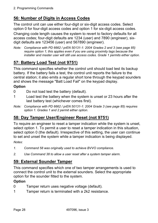# **56: Number of Digits in Access Codes**

The control unit can use either four-digit or six-digit access codes. Select option 0 for four-digit access codes and option 1 for six-digit access codes.

Changing code length causes the system to revert to factory defaults for all access codes; four-digit defaults are 1234 (user) and 7890 (engineer), sixdigit defaults are 123456 (user) and 567890 (engineer).

*Note: Compliance with PD 6662 / prEN 50131-1: 2004 Grades 2 and 3 (see page 85) require option 1; this applies even if you are using proximity tags because the installer and master user will still use access codes. Grade 1 permits either option.* 

# **57: Battery Load Test (not 9751)**

This command specifies whether the control unit should load test its backup battery. If the battery fails a test, the control unit reports the failure to the central station; it also emits a regular short tone through the keypad sounders and shows the message "Batt Load Fail" on the keypad display.

#### **Option**

- 0 Do not load test the battery (default).
- 1 Load test the battery when the system is unset or 23 hours after the last battery test (whichever comes first).
- *Note: Compliance with PD 6662 / prEN 50131-1: 2004 Grade 3 (see page 85) requires option 1. Grades 1 and 2 permit either option.*

# **58: Day Tamper User/Engineer Reset (not 9751)**

To require an engineer to reset a tamper indication while the system is unset, select option 1. To permit a user to reset a tamper indication in this situation, select option 0 (the default). Irrespective of this setting, the user can continue to set and unset the system while a tamper indication is being displayed. *Notes:* 

- *1. Command 58 was originally used to achieve BVVO compliance.*
- *2. Use Command 38 to allow a user reset after a system tamper alarm.*

# **59: External Sounder Tamper**

This command specifies which one of two tamper arrangements is used to connect the control unit to the external sounders. Select the appropriate option for the sounder fitted to the system.

#### **Option**

- 0 Tamper return uses negative voltage (default).
- 1 Tamper return is terminated with a 2k2 resistance.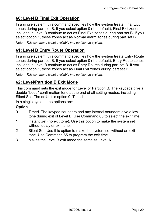# **60: Level B Final Exit Operation**

In a single system, this command specifies how the system treats Final Exit zones during part set B. If you select option 0 (the default), Final Exit zones included in Level B continue to act as Final Exit zones during part set B. If you select option 1, these zones act as Normal Alarm zones during part set B.

*Note: This command is not available in a partitioned system.* 

# **61: Level B Entry Route Operation**

In a single system, this command specifies how the system treats Entry Route zones during part set B. If you select option 0 (the default), Entry Route zones included in Level B continue to act as Entry Routes during part set B. If you select option 1, these zones act as Final Exit zones during part set B.

*Note: This command is not available in a partitioned system.* 

# **62: Level/Partition B Exit Mode**

This command sets the exit mode for Level or Partition B. The keypads give a double "beep" confirmation tone at the end of all setting modes, including Silent Set. The default is option 0, Timed.

In a single system, the options are:

#### **Option**

- 0 Timed. The keypad sounders and any internal sounders give a low tone during exit of Level B. Use Command 65 to select the exit time.
- 1 Instant Set (no exit tone). Use this option to make the system set without delay or exit tone.
- 2 Silent Set. Use this option to make the system set without an exit tone. Use Command 65 to program the exit time.
- 3 Makes the Level B exit mode the same as Level A.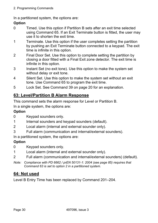2. Programming Commands

In a partitioned system, the options are:

#### **Option**

- 0 Timed. Use this option if Partition B sets after an exit time selected using Command 65. If an Exit Terminate button is fitted, the user may use it to shorten the exit time.
- 1 Terminate. Use this option if the user completes setting the partition by pushing an Exit Terminate button connected to a keypad. The exit time is infinite in this option.
- 2 Final Door Set. Use this option to complete setting the partition by closing a door fitted with a Final Exit zone detector. The exit time is infinite in this option.
- 3 Instant Set (no exit tone). Use this option to make the system set without delay or exit tone.
- 4 Silent Set. Use this option to make the system set without an exit tone. Use Command 65 to program the exit time.
- 5 Lock Set. See Command 39 on page 20 for an explanation.

# **63: Level/Partition B Alarm Response**

This command sets the alarm response for Level or Partition B.

In a single system, the options are:

#### **Option**

- 0 Keypad sounders only.
- 1 Internal sounders and keypad sounders (default).
- 2 Local alarm (internal and external sounder only).
- 3 Full alarm (communication and internal/external sounders).

In a partitioned system, the options are:

#### **Option**

- 0 Keypad sounders only.
- 1 Local alarm (internal and external sounder only).
- 2 Full alarm (communication and internal/external sounders) (default).
- *Note: Compliance with PD 6662 / prEN 50131-1: 2004 (see page 85) requires that Command 63 is set to option 2 in a partitioned system.*

# **64: Not used**

Level B Entry Time has been replaced by Command 201–204.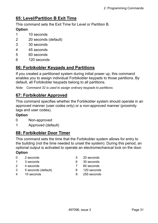## **65: Level/Partition B Exit Time**

This command sets the Exit Time for Level or Partition B.

### **Option**

- 1 10 seconds
- 2 20 seconds (default)
- 3 30 seconds
- 4 45 seconds
- 5 60 seconds
- 6 120 seconds

## **66: Forbikobler Keypads and Partitions**

If you created a partitioned system during initial power up, this command enables you to assign individual Forbikobler keypads to those partitions. By default, all Forbikobler keypads belong to all partitions.

*Note: Command 32 is used to assign ordinary keypads to partitions.* 

## **67: Forbikobler Approved**

This command specifies whether the Forbikobler system should operate in an approved manner (user codes only) or a non-approved manner (proximity tags and user codes).

### **Option**

- 0 Non-approved
- 1 Approved (default)

## **68: Forbikobler Door Timer**

This command sets the time that the Forbikobler system allows for entry to the building (not the time needed to unset the system). During this period, an optional output is activated to operate an electromechanical lock on the door.

- 0 2 seconds 5 20 seconds
- 1 3 seconds 6 30 seconds
- 2 4 seconds 7 60 seconds
- 3 5 seconds (default) 8 120 seconds
- 4 10 seconds 9 255 seconds
- 
- 
- 
- -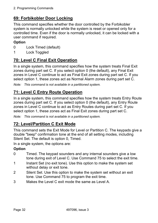# **69: Forbikobler Door Locking**

This command specifies whether the door controlled by the Forbikobler system is normally unlocked while the system is reset or opened only for a controlled time. Even if the door is normally unlocked, it can be locked with a user command if required.

### **Option**

- 0 Lock Timed (default)
- 1 Lock Toggled

## **70: Level C Final Exit Operation**

In a single system, this command specifies how the system treats Final Exit zones during part set C. If you select option 0 (the default), any Final Exit zones in Level C continue to act as Final Exit zones during part set C. If you select option 1, these zones act as Normal Alarm zones during part set C.

*Note: This command is not available in a partitioned system.* 

## **71: Level C Entry Route Operation**

In a single system, this command specifies how the system treats Entry Route zones during part set C. If you select option 0 (the default), any Entry Route zones in Level C continue to act as Entry Routes during part set C. If you select option 1, these zones act as Final Exit zones during part set C.

*Note: This command is not available in a partitioned system.* 

## **72: Level/Partition C Exit Mode**

This command sets the Exit Mode for Level or Partition C. The keypads give a double "beep" confirmation tone at the end of all setting modes, including Silent Set. The default is option 0, Timed.

In a single system, the options are:

- 0 Timed. The keypad sounders and any internal sounders give a low tone during exit of Level C. Use Command 75 to select the exit time.
- 1 Instant Set (no exit tone). Use this option to make the system set without delay or exit tone.
- 2 Silent Set. Use this option to make the system set without an exit tone. Use Command 75 to program the exit time.
- 3 Makes the Level C exit mode the same as Level A.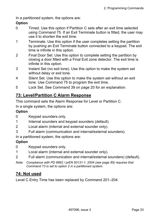In a partitioned system, the options are:

### **Option**

- 0 Timed. Use this option if Partition C sets after an exit time selected using Command 75. If an Exit Terminate button is fitted, the user may use it to shorten the exit time.
- 1 Terminate. Use this option if the user completes setting the partition by pushing an Exit Terminate button connected to a keypad. The exit time is infinite in this option.
- 2 Final Door Set. Use this option to complete setting the partition by closing a door fitted with a Final Exit zone detector. The exit time is infinite in this option.
- 3 Instant Set (no exit tone). Use this option to make the system set without delay or exit tone.
- 4 Silent Set. Use this option to make the system set without an exit tone. Use Command 75 to program the exit time.
- 5 Lock Set. See Command 39 on page 20 for an explanation.

## **73: Level/Partition C Alarm Response**

This command sets the Alarm Response for Level or Partition C. In a single system, the options are:

### **Option**

- 0 Keypad sounders only.
- 1 Internal sounders and keypad sounders (default).
- 2 Local alarm (internal and external sounder only).
- 3 Full alarm (communication and internal/external sounders).

In a partitioned system, the options are:

### **Option**

- 0 Keypad sounders only.
- 1 Local alarm (internal and external sounder only).
- 2 Full alarm (communication and internal/external sounders) (default).
- *Note: Compliance with PD 6662 / prEN 50131-1: 2004 (see page 85) requires that Command 73 is set to option 2 in a partitioned system.*

## **74: Not used**

Level C Entry Time has been replaced by Command 201–204.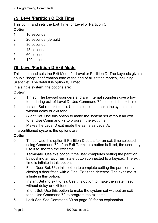# **75: Level/Partition C Exit Time**

This command sets the Exit Time for Level or Partition C.

### **Option**

- 1 10 seconds
- 2 20 seconds (default)
- 3 30 seconds
- 4 45 seconds
- 5 60 seconds
- 6 120 seconds

## **76: Level/Partition D Exit Mode**

This command sets the Exit Mode for Level or Partition D. The keypads give a double "beep" confirmation tone at the end of all setting modes, including Silent Set. The default is option 0, Timed.

In a single system, the options are:

#### **Option**

- 0 Timed. The keypad sounders and any internal sounders give a low tone during exit of Level D. Use Command 79 to select the exit time.
- 1 Instant Set (no exit tone). Use this option to make the system set without delay or exit tone.
- 2 Silent Set. Use this option to make the system set without an exit tone. Use Command 79 to program the exit time.
- 3 Makes the Level D exit mode the same as Level A.

In a partitioned system, the options are:

- 0 Timed. Use this option if Partition D sets after an exit time selected using Command 79. If an Exit Terminate button is fitted, the user may use it to shorten the exit time.
- 1 Terminate. Use this option if the user completes setting the partition by pushing an Exit Terminate button connected to a keypad. The exit time is infinite in this option.
- 2 Final Door Set. Use this option to complete setting the partition by closing a door fitted with a Final Exit zone detector. The exit time is infinite in this option.
- 3 Instant Set (no exit tone). Use this option to make the system set without delay or exit tone.
- 4 Silent Set. Use this option to make the system set without an exit tone. Use Command 79 to program the exit time.
- 5 Lock Set. See Command 39 on page 20 for an explanation.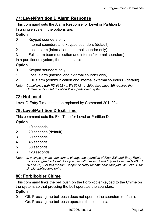## **77: Level/Partition D Alarm Response**

This command sets the Alarm Response for Level or Partition D. In a single system, the options are:

### **Option**

- 0 Keypad sounders only.
- 1 Internal sounders and keypad sounders (default).
- 2 Local alarm (internal and external sounder only).
- 3 Full alarm (communication and internal/external sounders).

In a partitioned system, the options are:

### **Option**

- 0 Keypad sounders only.
- 1 Local alarm (internal and external sounder only).
- 2 Full alarm (communication and internal/external sounders) (default).
- *Note: Compliance with PD 6662 / prEN 50131-1: 2004 (see page 85) requires that Command 77 is set to option 2 in a partitioned system.*

## **78: Not used**

Level D Entry Time has been replaced by Command 201–204.

### **79: Level/Partition D Exit Time**

This command sets the Exit Time for Level or Partition D.

### **Option**

- 1 10 seconds
- 2 20 seconds (default)
- 3 30 seconds
- 4 45 seconds
- 5 60 seconds
- 6 120 seconds
- *Note: In a single system, you cannot change the operation of Final Exit and Entry Route zones assigned to Level D as you can with Levels B and C (see Commands 60, 61, 70 and 71). For this reason, Cooper Security recommends that you use Level D for simple applications only.*

## **80: Forbikobler Chime**

This command links the bell push on the Forbikobler keypad to the Chime on the system, so that pressing the bell operates the sounders.

- 0 Off. Pressing the bell push does not operate the sounders (default).
- 1 On. Pressing the bell push operates the sounders.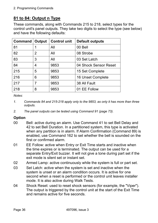# **81 to 84: Output n Type**

These commands, along with Commands 215 to 218, select types for the control unit's panel outputs. They take two digits to select the type (see below) and have the following defaults:

| <b>Command</b> | Output | <b>Control unit</b> | <b>Default outputs</b> |
|----------------|--------|---------------------|------------------------|
| 81             | 1      | All                 | 00 Bell                |
| 82             | 2      | All                 | 08 Strobe              |
| 83             | 3      | All                 | 03 Set Latch           |
| 84             | 4      | 9853                | 04 Shock Sensor Reset  |
| 215            | 5      | 9853                | 15 Set Complete        |
| 216            | 6      | 9853                | 16 Unset Complete      |
| 217            | 7      | 9853                | 38 All Fault           |
| 218            | 8      | 9853                | 01 EE Follow           |

*Notes:* 

- *1. Commands 84 and 215-218 apply only to the 9853, as only it has more than three outputs.*
- *2. The panel outputs can be tested using Command 91 (page 73).*

- 00 Bell: active during an alarm. Use Command 41 to set Bell Delay and 42 to set Bell Duration. In a partitioned system, this type is activated when any partition is in alarm. If Alarm Confirmation (Command 89) is enabled, use Command 162 to set whether the bell is sounded on the first or confirmed alarm.
- 01 EE Follow: active when Entry or Exit Time starts and inactive when the time expires or is terminated. The output can be used for a separate Entry/Exit buzzer. It will not give a tone during part set if the exit mode is silent set or instant set.
- 02 Armed Lamp: active continuously while the system is full or part set.
- 03 Set Latch: active when the system is set and inactive when the system is unset or an alarm condition occurs. It is active for one second when a reset is performed or the control unit leaves installer mode. It is also active during Walk Tests.
- 04 Shock Reset: used to reset shock sensors (for example, the "Viper"). The output is triggered by the control unit at the start of the Exit Time and remains active for five seconds.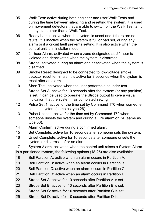- 05 Walk Test: active during both engineer and user Walk Tests and during the time between silencing and resetting the system. It is used on movement detectors that are able to switch off the Walk Test lamp in any state other than a Walk Test.
- 06 Ready Lamp: active when the system is unset and if there are no faults. It is inactive when the system is full or part set, during any alarm or if a circuit fault prevents setting. It is also active when the control unit is in installer mode.
- 07 24-hour Alarm: activated when a zone designated as 24-hour is violated and deactivated when the system is disarmed.
- 08 Strobe: activated during an alarm and deactivated when the system is disarmed.
- 09 Smoke Reset: designed to be connected to low-voltage smoke detector reset terminals. It is active for 3 seconds when the system is reset after an alarm.
- 10 Siren Test: activated when the user performs a sounder test.
- 11 Strobe Set A: active for 10 seconds after the system (or any partition) is set. It can be used to operate the Strobe output to give a visual indication that the system has completed setting.
- 12 Pulse Set 1: active for the time set by Command 170 when someone sets the system (same as type 26).
- 13 Pulse Unset 1: active for the time set by Command 172 when someone unsets the system and during a Fire alarm or PA (same as type 30).
- 14 Alarm Confirm: active during a confirmed alarm.
- 15 Set Complete: active for 10 seconds after someone sets the system.
- 16 Unset Complete: active for 10 seconds after someone unsets the system or disarms it after an alarm.

17 System Alarm: activated when the control unit raises a System Alarm.

In a partitioned system, the following options (18-25) are also available:

- 18 Bell Partition A: active when an alarm occurs in Partition A.
- 19 Bell Partition B: active when an alarm occurs in Partition B.
- 20 Bell Partition C: active when an alarm occurs in Partition C.
- 21 Bell Partition D: active when an alarm occurs in Partition D.
- 22 Strobe Set A: active for 10 seconds after Partition A is set.
- 23 Strobe Set B: active for 10 seconds after Partition B is set.
- 24 Strobe Set C: active for 10 seconds after Partition C is set.
- 25 Strobe Set D: active for 10 seconds after Partition D is set.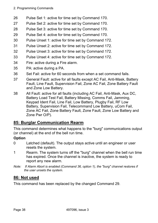- 26 Pulse Set 1: active for time set by Command 170.
- 27 Pulse Set 2: active for time set by Command 170.
- 28 Pulse Set 3: active for time set by Command 170.
- 29 Pulse Set 4: active for time set by Command 170.
- 30 Pulse Unset 1: active for time set by Command 172.
- 31 Pulse Unset 2: active for time set by Command 172.
- 32 Pulse Unset 3: active for time set by Command 172.
- 33 Pulse Unset 4: active for time set by Command 172.
- 34 Fire: active during a Fire alarm.
- 35 PA: active during a PA.
- 36 Set Fail: active for 60 seconds from when a set command fails.
- 37 General Fault: active for all faults except AC Fail, Anti-Mask, Battery Fault, Line Fault, Supervision Fail, Zone AC Fail, Zone Battery Fault and Zone Low Battery.
- 38 All Fault: active for all faults (including AC Fail, Anti-Mask, Aux DC, Battery Load Test Fail, Battery Missing, Comms Fail, Jamming, Keypad Ident Fail, Line Fail, Low Battery, Plugby Fail, RF Low Battery, Supervision Fail, Telecommand Low Battery, uCom Fail, Zone AC Fail, Zone Battery Fault, Zone Fault, Zone Low Battery and Zone Pwr O/P).

## **85: Burglar Communication Rearm**

This command determines what happens to the "burg" communications output (or channel) at the end of the bell run time.

### **Option**

- 0 Latched (default). The output stays active until an engineer or user resets the system.
- 1 Rearm. The system turns off the "burg" channel when the bell run time has expired. Once the channel is inactive, the system is ready to report any new alarm.
- *Note: If Alarm Abort is enabled (Command 36, option 1), the "burg" channel restores if the user unsets the system.*

## **86: Not used**

This command has been replaced by the changed Command 29.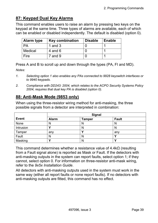## **87: Keypad Dual Key Alarms**

This command enables users to raise an alarm by pressing two keys on the keypad at the same time. Three types of alarms are available, each of which can be enabled or disabled independently. The default is disabled (option 0).

| <b>Alarm type</b> | <b>Key combination</b> | <b>Disable</b> | Enable |
|-------------------|------------------------|----------------|--------|
| PA                | 1 and $3$              |                |        |
| Medical           | 4 and $6$              |                |        |
| Fire              | $7$ and $9$            |                |        |

Press A and B to scroll up and down through the types (PA, FI and MD). *Notes:* 

- *1. Selecting option 1 also enables any PAs connected to 9928 keyswitch interfaces or to 9940 keypads.*
- *2. Compliance with DD243: 2004, which relates to the ACPO Security Systems Policy 2004, requires that dual key PA is disabled (option 0).*

## **88: Anti-Mask Mode (9853 only)**

When using the three-resistor wiring method for anti-masking, the three possible signals from a detector are interpreted in combination:

|              | <b>Signal</b> |        |              |
|--------------|---------------|--------|--------------|
| <b>Event</b> | <b>Alarm</b>  | Tamper | <b>Fault</b> |
| None         | N             | N      | N            |
| Intrusion    |               | N      | N            |
| Tamper       | any           |        | any          |
| Fault        | N             | N      |              |
| Masking      |               | N      |              |

This command determines whether a resistance value of  $4.4k\Omega$  (resulting from a Fault signal alone) is reported as Mask or Fault. If the detectors with anti-masking outputs in the system can report faults, select option 1; if they cannot, select option 0. For information on three-resistor anti-mask wiring, refer to the *9x5x Installation Guide*.

All detectors with anti-masking outputs used in the system must work in the same way (either all report faults or none report faults). If no detectors with anti-masking outputs are fitted, this command has no effect.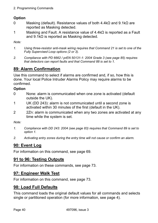#### 2. Programming Commands

### **Option**

- 0 Masking (default). Resistance values of both 4.4kΩ and 9.1kΩ are reported as Masking detected.
- 1 Masking and Fault. A resistance value of  $4.4k\Omega$  is reported as a Fault and 9.1kΩ is reported as Masking detected.

*Note:* 

- *1. Using three-resistor anti-mask wiring requires that Command 21 is set to one of the Fully Supervised Loop options (2 or 3).*
- *2. Compliance with PD 6662 / prEN 50131-1: 2004 Grade 3 (see page 85) requires that detectors can report faults and that Command 88 is set to 1.*

# **89: Alarm Confirmation**

Use this command to select if alarms are confirmed and, if so, how this is done. Your local Police Intruder Alarms Policy may require alarms to be confirmed.

### **Option**

- 0 None: alarm is communicated when one zone is activated (default outside the UK).
- 1 UK (DD 243): alarm is not communicated until a second zone is activated within 30 minutes of the first (default in the UK).
- 2 2Zn: alarm is communicated when any two zones are activated at any time while the system is set.

*Note:* 

- *1. Compliance with DD 243: 2004 (see page 83) requires that Command 89 is set to option 1.*
- *2. Activating entry zones during the entry time will not cause or confirm an alarm.*

## **90: Event Log**

For information on this command, see page 69.

## **91 to 96: Testing Outputs**

For information on these commands, see page 73.

## **97: Engineer Walk Test**

For information on this command, see page 73.

## **98: Load Full Defaults**

This command loads the original default values for all commands and selects single or partitioned operation (for more information, see page 4).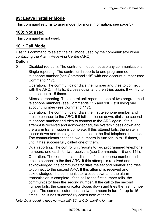## **99: Leave Installer Mode**

This command returns to user mode (for more information, see page 3).

### **100: Not used**

This command is not used.

### **101: Call Mode**

Use this command to select the call mode used by the communicator when contacting the Alarm Receiving Centre (ARC).

#### **Option**

- 0 Disabled (default). The control unit does not use any communications.
- 1 Single reporting. The control unit reports to one programmed telephone number (see Command 115) with one account number (see

Command 117). Operation: The communicator dials the number and tries to connect with the ARC. If it fails, it closes down and then tries again. It will try to

connect up to 15 times. 2 Alternate reporting. The control unit reports to one of two programmed telephone numbers (see Commands 115 and 116), still using one account number (see Command 117).

> Operation: The communicator dials the first telephone number and tries to connect to the ARC. If it fails, it closes down, dials the second telephone number and tries to connect to the ARC again. If this attempt is received and acknowledged, the system closes down and the alarm transmission is complete. If this attempt fails, the system closes down and tries again to connect to the first telephone number. The communicator tries the two numbers in turn for up to 15 times, until it has successfully called one of them.

3 Dual reporting. The control unit reports to two programmed telephone numbers, one each for two receivers (see Commands 115 and 116). Operation: The communicator dials the first telephone number and tries to connect to the first ARC. If this attempt is received and acknowledged, the communicator dials the second number and tries to connect to the second ARC. If this attempt is received and acknowledged, the communicator closes down and the alarm transmission is complete. If the call to the first number fails, the communicator tries the second number. If the call to the second number fails, the communicator closes down and tries the first number again. The communicator tries the two numbers in turn for up to 15 times, until it has successfully called both of them.

*Note: Dual reporting does not work with SIA or CID reporting formats.*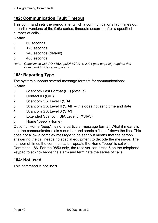# **102: Communication Fault Timeout**

This command sets the period after which a communications fault times out. In earlier versions of the 9x5x series, timeouts occurred after a specified number of calls.

### **Option**

- 0 60 seconds
- 1 120 seconds
- 2 240 seconds (default)
- 3 480 seconds
- *Note: Compliance with PD 6662 / prEN 50131-1: 2004 (see page 85) requires that Command 102 is set to option 2.*

# **103: Reporting Type**

The system supports several message formats for communications:

### **Option**

- 0 Scancom Fast Format (FF) (default)
- 1 Contact ID (CID)
- 2 Scancom SIA Level I (SIAI)
- 3 Scancom SIA Level II (SIAII) this does not send time and date
- 4 Scancom SIA Level 3 (SIA3)
- 5 Extended Scancom SIA Level 3 (XSIA3)
- 6 Home "beep" (Home)

Option 6, Home "beep", is not a particular message format. What it means is that the communicator dials a number and sends a "beep" down the line. This does not allow a complex message to be sent but means that the person answering the call needs no special equipment to decode the message. The number of times the communicator repeats the Home "beep" is set with Command 186. For the 9853 only, the receiver can press 5 on the telephone keypad to acknowledge the alarm and terminate the series of calls.

### **104: Not used**

This command is not used.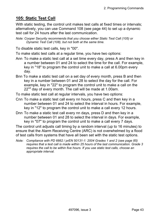## **105: Static Test Call**

With static testing, the control unit makes test calls at fixed times or intervals; alternatively, you can use Command 108 (see page 44) to set up a dynamic test call for 24 hours after the last communication.

*Note: Cooper Security recommends that you choose either Static Test Call (105) or Dynamic Test Call (108), but not both at the same time.* 

To disable static test calls, key in "00".

To make static test calls at a regular time, you have two options:

- Ann To make a static test call at a set time every day, press A and then key in a number between 01 and 24 to select the time for the call. For example, key in "18" to program the control unit to make a call at 6.00pm every day.
- Bnn To make a static test call on a set day of every month, press B and then key in a number between 01 and 28 to select the day for the call. For example, key in "22" to program the control unit to make a call on the  $22<sup>nd</sup>$  day of every month. The call will be made at 1.00am.

To make static test call at regular intervals, you have two options:

- Cnn To make a static test call every nn hours, press C and then key in a number between 01 and 24 to select the interval in hours. For example, key in "12" to program the control unit to make a call every 12 hours.
- Dnn To make a static test call every nn days, press D and then key in a number between 01 and 28 to select the interval in days. For example, key in "07" to program the control unit to make a call every 7 days.

The control unit adjusts call timing by a random interval (up to 16 minutes) to ensure that the Alarm Receiving Centre (ARC) is not overwhelmed by a flood of test calls from systems that have all been set with the static test options.

*Note: Compliance with PD 6662 / prEN 50131-1: 2004 Grades 1 and 2 (see page 85) requires that a test call is made within 25 hours of the last communication. Grade 3 requires the call to be within five hours. If you use static test calls, choose an appropriate interval.*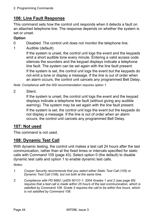# **106: Line Fault Response**

This command sets how the control unit responds when it detects a fault on an attached telephone line. The response depends on whether the system is set or unset.

### **Option**

0 Disabled. The control unit does not monitor the telephone line.

1 Audible (default).

 If the system is unset, the control unit logs the event and the keypads emit a short audible tone every minute. Entering a valid access code silences the sounders and the keypad displays indicate a telephone line fault. The system can be set again with the line fault present. If the system is set, the control unit logs the event but the keypads do not emit a tone or display a message. If the line is out of order when an alarm occurs, the control unit cancels any programmed Bell Delay.

*Note: Compliance with the NSI recommendation requires option 1.* 

2 Silent.

 If the system is unset, the control unit logs the event and the keypad displays indicate a telephone line fault (without giving any audible warning). The system may be set again with the line fault present. If the system is set, the control unit logs the event but the keypads do not display a message. If the line is out of order when an alarm occurs, the control unit cancels any programmed Bell Delay.

### **107: Not used**

This command is not used.

## **108: Dynamic Test Call**

With dynamic testing, the control unit makes a test call 24 hours after the last communication, rather than at the fixed times or intervals specified for static calls with Command 105 (page 43). Select option 0 (the default) to disable dynamic test calls and option 1 to enable dynamic test calls.

*Notes:* 

- *1. Cooper Security recommends that you select either Static Test Call (105) or Dynamic Test Call (108), but not both at the same time.*
- *2. Compliance with PD 6662 / prEN 50131-1: 2004 Grades 1 and 2 (see page 85) requires that a test call is made within 25 hours of the last communication, which is satisfied by Command 108. Grade 3 requires the call to be within five hours, which is not satisfied by Command 108.*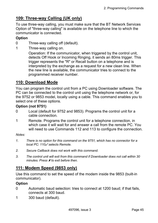# **109: Three-way Calling (UK only)**

To use three-way calling, you must make sure that the BT Network Services Option of "three-way calling" is available on the telephone line to which the communicator is connected.

#### **Option**

- 0 Three-way calling off (default).
- 1 Three-way calling on.

 Operation: If the communicator, when triggered by the control unit, detects Off Hook or Incoming Ringing, it sends an 80ms trigger. This trigger represents the "R" or Recall button on a telephone and is interpreted by the exchange as a request for a new clean line. When the new line is available, the communicator tries to connect to the programmed receiver number.

### **110: Download Mode**

You can program the control unit from a PC using Downloader software. The PC can be connected to the control unit using the telephone network or, for the 9752 or 9853 model, locally using a cable. This command enables you to select one of these options.

#### **Option (not 9751)**

- 0 Local (default for 9752 and 9853). Programs the control unit for a cable connection.
- 1 Remote. Programs the control unit for a telephone connection, in which case it will wait for and answer a call from the remote PC. You will need to use Commands 112 and 113 to configure the connection.

*Notes:* 

- *1. There is no option for this command on the 9751, which has no connector for a local PC: 110*y *selects Remote.*
- *2. Secure Callback does not work with this command.*
- *3. The control unit will exit from this command if Downloader does not call within 30 minutes. Press* X *to exit before then.*

## **111: Modem Speed (9853 only)**

Use this command to set the speed of the modem inside the 9853 (built-in communicator).

- 0 Automatic baud selection: tries to connect at 1200 baud; if that fails, connects at 300 baud.
- 1 300 baud (default).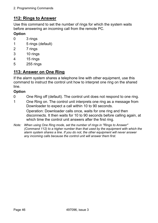## **112: Rings to Answer**

Use this command to set the number of rings for which the system waits before answering an incoming call from the remote PC.

### **Option**

- 0 3 rings
- 1 5 rings (default)
- 2 7 rings
- 3 10 rings
- 4 15 rings
- 5 255 rings

## **113: Answer on One Ring**

If the alarm system shares a telephone line with other equipment, use this command to instruct the control unit how to interpret one ring on the shared line.

### **Option**

- 0 One Ring off (default). The control unit does not respond to one ring.
- 1 One Ring on. The control unit interprets one ring as a message from Downloader to expect a call within 10 to 90 seconds.

 Operation: Downloader calls once, waits for one ring and then disconnects. It then waits for 10 to 90 seconds before calling again, at which time the control unit answers after the first ring.

*Note: When using One Ring mode, set the number of rings in "Rings to Answer" (Command 112) to a higher number than that used by the equipment with which the alarm system shares a line. If you do not, the other equipment will never answer any incoming calls because the control unit will answer them first.*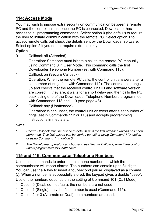## **114: Access Mode**

You may wish to impose extra security on communication between a remote PC and the control unit as, once the PC is connected, Downloader has access to all programming commands. Select option 0 (the default) to require the user to initiate communication with the remote PC. Select option 1 to accept remote calls but check the details sent by the Downloader software. Select option 2 if you do not require extra security.

#### **Option**

0 Callback off (Attended).

 Operation: Someone must initiate a call to the remote PC manually using Command 0 in User Mode. This command calls the first Downloader Telephone Number (set with Command 118).

1 Callback on (Secure Callback).

 Operation: When the remote PC calls, the control unit answers after a set number of rings (set with Command 112). The control unit hangs up and checks that the received control unit ID and software version are correct. If they are, it waits for a short delay and then calls the PC back using one of the Downloader Telephone Numbers programmed with Commands 118 and 119 (see page 48).

2 Callback any (Unattended).

 Operation: When unset, the control unit answers after a set number of rings (set in Commands 112 or 113) and accepts programming instructions immediately.

#### *Notes:*

- *1. Secure Callback must be disabled (default) until the first attended upload has been performed. This first upload can be carried out either using Command 110, option 1 or using Command 114, option 0.*
- *2. The Downloader operator can choose to use Secure Callback, even if the control unit is programmed for Unattended.*

### **115 and 116: Communicator Telephone Numbers**

Use these commands to enter the telephone numbers to which the communicator will report alarms. The numbers can contain up to 31 digits. You can use the A key to insert a four-second pause, displayed as a comma (,). When a number is successfully stored, the keypad gives a double "beep". Use of the numbers depends on the setting of Command 101 (Call Mode):

- Option  $\theta$  (Disabled  $-\theta$  default): the numbers are not used.
- ° Option 1 (Single): only the first number is used (Command 115).
- ° Option 2 or 3 (Alternate or Dual): both numbers are used.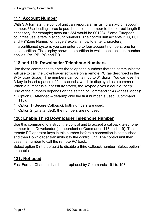# **117: Account Number**

With SIA formats, the control unit can report alarms using a six-digit account number. Use leading zeros to pad the account number to the correct length if necessary; for example; account 1234 would be 001234. Some European countries use letters in account numbers. The control unit accepts B, C, D, E and F ("Zone Names" on page 7 explains how to enter characters).

In a partitioned system, you can enter up to four account numbers, one for each partition. The display shows the partition to which each account number applies: PA, PB, PC and PD.

## **118 and 119: Downloader Telephone Numbers**

Use these commands to enter the telephone numbers that the communicator will use to call the Downloader software on a remote PC (as described in the *9x5x User Guide*). The numbers can contain up to 31 digits. You can use the A key to insert a pause of four seconds, which is displayed as a comma (,). When a number is successfully stored, the keypad gives a double "beep". Use of the numbers depends on the setting of Command 114 (Access Mode):

- Option 0 (Attended default): only the first number is used (Command 118).
- ° Option 1 (Secure Callback): both numbers are used.
- ° Option 2 (Unattended): the numbers are not used.

## **120: Enable Third Downloader Telephone Number**

Use this command to instruct the control unit to accept a callback telephone number from Downloader (independent of Commands 118 and 119). The remote PC operator keys in this number before a connection is established and then Downloader transmits it to the control unit. The control unit then uses the number to call the remote PC back.

Select option 0 (the default) to disable a third callback number. Select option 1 to enable it.

## **121: Not used**

Fast Format Channels has been replaced by Commands 191 to 198.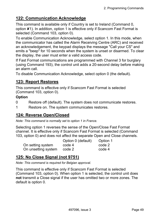## **122: Communication Acknowledge**

This command is available only if Country is set to Ireland (Command 0, option X1). In addition, option 1 is effective only if Scancom Fast Format is selected (Command 103, option 0).

To enable Communication Acknowledge, select option 1. In this mode, when the communicator has called the Alarm Receiving Centre (ARC) and received an acknowledgement, the keypad displays the message "Call your CS" and emits a "beep" for 10 seconds when the system is unset or disarmed. To clear the display, the user must enter a valid access code.

If Fast Format communications are programmed with Channel 3 for burglary (using Command 193), the control unit adds a 20-second delay before making an alarm call.

To disable Communication Acknowledge, select option 0 (the default).

## **123: Report Restores**

This command is effective only if Scancom Fast Format is selected (Command 103, option 0).

#### **Option**

- 0 Restore off (default). The system does not communicate restores.
- 1 Restore on. The system communicates restores.

## **124: Reverse Open/Closed**

*Note: This command is normally set to option 1 in France.* 

Selecting option 1 reverses the sense of the Open/Close Fast Format channel. It is effective only if Scancom Fast Format is selected (Command 103, option 0) and does not affect the separate Open and Close channels.

|                     | Option 0 (default) | Option 1 |
|---------------------|--------------------|----------|
| On setting system   | code 4             | code 2   |
| On unsetting system | code 2             | code 4   |

## **125: No Close Signal (not 9751)**

*Note: This command is required for Belgian approval.* 

This command is effective only if Scancom Fast Format is selected (Command 103, option 0). When option 1 is selected, the control unit does **not** transmit a Close signal if the user has omitted two or more zones. The default is option 0.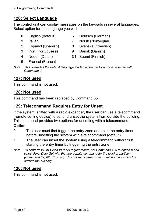# **126: Select Language**

The control unit can display messages on the keypads in several languages. Select option for the language you wish to use:

- 
- 
- 2 Espanol (Spanish) 8 Svenska (Swedish)
- 3 Port (Portuguese) 9 Dansk (Danish)
- 4 Nederl (Dutch) X1 Suomi (Finnish)
- 5 Francai (French)
- 0 English (default) 6 Deutsch (German)
- 1 Italian 7 Norsk (Norwegian)
	-
	-
	-

*Note: This overrides the default language loaded when the Country is selected with Command 0.* 

# **127: Not used**

This command is not used.

## **128: Not used**

This command has been replaced by Command 55.

## **129: Telecommand Requires Entry for Unset**

If the system is fitted with a radio expander, the user can use a telecommand (remote setting device) to set and unset the system from outside the building. This command provides two options for unsetting with a telecommand:

### **Option**

- 0 The user must first trigger the entry zone and start the entry timer before unsetting the system with a telecommand (default).
- 1 The user can unset the system using a telecommand without first starting the entry timer by triggering the entry zone.
- *Note: To conform to UK Class VI radio requirements, set Command 129 to option 0 and select Final Door Set with the appropriate command for the level or partition (Command 39, 62, 72 or 76). This prevents users from unsetting the system from outside the building.*

## **130: Not used**

This command is not used.

Page 50 497096, issue 3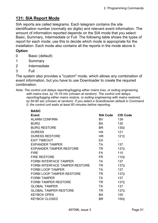## **131: SIA Report Mode**

SIA reports are called telegrams. Each telegram contains the site identification number (normally six digits) and relevant event information. The amount of information reported depends on the SIA mode that you select: Basic, Summary, Intermediate or Full. The following table shows the types of report for each mode; use this to decide which mode is appropriate for the installation. Each mode also contains all the reports in the mode above it.

#### **Option**

- 0 Basic (default)
- 1 Summary
- 2 Intermediate
- 3 Full

The system also provides a "custom" mode, which allows any combination of event information, but you have to use Downloader to create the required combination.

*Note: The control unit delays reporting/logging either mains loss, or exiting engineering with mains loss, by 15-18 min (chosen at random). The control unit delays reporting/logging either mains restore, or exiting engineering with mains restored, by 60-90 sec (chosen at random). If you select a Scandinavian default in Command 0, the control unit waits at least 60 minutes before reporting.* 

| <b>BASIC</b>                          |                 |                 |
|---------------------------------------|-----------------|-----------------|
| <b>Event</b>                          | <b>SIA Code</b> | <b>CID Code</b> |
| <b>ALARM CONFIRM</b>                  | <b>BV</b>       | 139             |
| <b>BURG</b>                           | BA              | 130             |
| <b>BURG RESTORE</b>                   | BR              | 130‡            |
| <b>DURESS</b>                         | <b>HA</b>       | 121             |
| <b>DURESS RESTORE</b>                 | HR.             | $121 \pm$       |
| <b>EXIT TIMEOUT</b>                   | EA              |                 |
| <b>EXPANDER TAMPER</b>                | <b>TA</b>       | 137             |
| <b>EXPANDER TAMPER RESTORE</b>        | TR              | 137‡            |
| <b>FIRE</b>                           | <b>FA</b>       | 110             |
| <b>FIRE RESTORE</b>                   | FR I            | 110‡            |
| <b>FORBI INTERFACE TAMPER</b>         | <b>TA</b>       | 137             |
| <b>FORBI INTERFACE TAMPER RESTORE</b> | TR              | 137‡            |
| <b>FORBI LOOP TAMPER</b>              | <b>TA</b>       | 137             |
| <b>FORBI LOOP TAMPER RESTORE</b>      | <b>TR</b>       | 137‡            |
| <b>FORBI TAMPER</b>                   | <b>TA</b>       | 137             |
| <b>FORBI TAMPER RESTORE</b>           | TR              | 137‡            |
| <b>GLOBAL TAMPER</b>                  | <b>TA</b>       | 137             |
| <b>GLOBAL TAMPER RESTORE</b>          | TR              | 137‡            |
| <b>KEYBOX OPEN</b>                    | <b>BA</b>       | 150             |
| <b>KEYBOX CLOSED</b>                  | BR.             | 150‡            |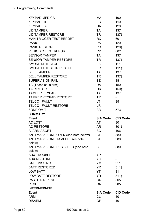| <b>KEYPAD MEDICAL</b>                | МA                     | 100             |
|--------------------------------------|------------------------|-----------------|
| <b>KEYPAD FIRE</b>                   | FC                     | 110             |
| <b>KEYPAD PA</b>                     | <b>HA</b>              | 120             |
| <b>LID TAMPER</b>                    | <b>TA</b>              | 137             |
| <b>LID TAMPER RESTORE</b>            | TR                     | 137‡            |
| <b>MAN TRIGGER TEST REPORT</b>       | <b>RX</b>              | 601             |
| <b>PANIC</b>                         | <b>PA</b>              | 120             |
| <b>PANIC RESTORE</b>                 | <b>PR</b>              | 120‡            |
| PERIODIC TEST REPORT                 | <b>RP</b>              | 602             |
| <b>SENSOR TAMPER</b>                 | TA                     | 137             |
| <b>SENSOR TAMPER RESTORE</b>         | <b>TR</b>              | 137‡            |
| <b>SMOKE DETECTOR</b>                | FA                     | 111             |
| <b>SMOKE DETECTOR RESTORE</b>        | FR.                    | $1111 \pm$      |
| <b>BELL TAMPER</b>                   | TA                     | 137             |
| <b>BELL TAMPER RESTORE</b>           | TR                     | 137‡            |
| <b>SUPERVISION FAIL</b>              | BZ                     | 381             |
| TA (Technical alarm)                 | UA                     | 150             |
| <b>TA RESTORE</b>                    | <b>UR</b>              | 150‡            |
| <b>TAMPER KEYPAD</b>                 | TA                     | 137             |
| <b>TAMPER KEYPAD RESTORE</b>         | TR.                    |                 |
| <b>TELCO1 FAULT</b>                  | LT.                    | 351             |
| <b>TELCO1 FAULT RESTORE</b>          | LR.                    |                 |
| <b>ZONE OMIT</b>                     |                        |                 |
|                                      | <b>BB</b>              | 573             |
| <b>SUMMARY</b>                       |                        |                 |
| <b>Event</b>                         | <b>SIA Code</b>        | <b>CID Code</b> |
| <b>AC LOST</b>                       | AT                     | 301             |
| <b>AC RESTORE</b>                    | AR I                   | 301‡            |
| <b>ALARM ABORT</b>                   | BC                     | 406             |
| ANTI MASK ZONE OPEN (see note below) | BT                     | 380             |
| ANTI MASK ZONE TAMPER (see note      | ВT                     | 380             |
| below)                               |                        |                 |
| ANTI MASK ZONE RESTORED (see note    | BJ                     | 380             |
| below)                               |                        |                 |
| <b>AUX TROUBLE</b>                   | YP                     |                 |
| <b>AUX RESTORE</b>                   | YQ                     |                 |
| <b>BATT MISSING</b>                  | YM                     | 311             |
| <b>BATT RESTORED</b>                 | <b>YR</b>              | $311 \pm$       |
| <b>LOW BATT</b>                      | YT                     | 311             |
| <b>LOW BATT RESTORE</b>              | YR.                    | 311‡            |
| <b>PARTITION RESET</b>               | <b>OR</b>              | 305             |
| <b>RESET</b>                         | <b>OR</b>              | 305             |
| <b>INTERMEDIATE</b>                  |                        |                 |
| <b>Event</b>                         | <b>SIA Code</b>        | <b>CID Code</b> |
| <b>ARM</b><br><b>DISARM</b>          | <b>CL</b><br><b>OP</b> | 401<br>401      |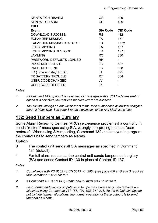| <b>KEYSWITCH DISARM</b>         | OS              | 409             |
|---------------------------------|-----------------|-----------------|
| <b>KEYSWITCH ARM</b>            | CS              | 409             |
| <b>FULL</b>                     |                 |                 |
| Event                           | <b>SIA Code</b> | <b>CID Code</b> |
| DOWNLOAD SUCCESS                | <b>RS</b>       | 412             |
| <b>EXPANDER MISSING</b>         | TA.             | 137             |
| <b>EXPANDER MISSING RESTORE</b> | TR.             | 137‡            |
| <b>FORBI MISSING</b>            | TA.             | 137             |
| <b>FORBI MISSING RESTORE</b>    | TR.             | 137‡            |
| <b>JAMMING</b>                  | XQ              | 380             |
| PASSWORD DEFAULTS LOADED        | <b>RH</b>       |                 |
| <b>PROG MODE START</b>          | LB.             | 627             |
| <b>PROG MODE END</b>            | LS              | 628             |
| TD (Time and day) RESET         | JT              | 625             |
| <b>TX BATTERY TROUBLE</b>       | XT              | 384             |
| <b>USER CODE CHANGED</b>        | JV              |                 |
| USER CODE DELETED               | JX              |                 |

#### *Notes:*

- *1. If Command 143, option 1 is selected, all messages with a CID Code are sent. If*  option 0 is selected, the restores marked with  *are not sent.*
- *2. The control unit logs an Anti-Mask event to the zone number one below that assigned the Anti-Mask type. See page 8 for an explanation of the Anti-Mask zone type.*

### **132: Send Tampers as Burglary**

Some Alarm Receiving Centres (ARCs) experience problems if a control unit sends "restore" messages using SIA, wrongly interpreting them as "user restores". When using SIA reporting, Command 132 enables you to program the control unit to send tampers as alarms.

#### **Option**

- 0 The control unit sends all SIA messages as specified in Command 131 (default).
- 1 For full alarm response, the control unit sends tampers as burglary (BA) and sends Contact ID 130 in place of Contact ID 137.

*Notes:* 

- *1. Compliance with PD 6662 / prEN 50131-1: 2004 (see page 85) at Grade 3 requires that Command 132 is set to 1.*
- *2. If Command 132 is set to 0, Command 37 must also be set to 0.*
- *3. Fast Format and plug-by outputs send tampers as alarms only if no tampers are allocated using Commands 151-158, 191-198, 211-218. As the default settings do not include tamper allocations, the normal operation of these outputs is to send tampers as alarms.*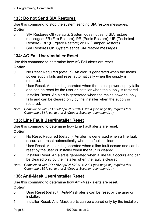## **133: Do not Send SIA Restores**

Use this command to stop the system sending SIA restore messages. **Option** 

- 0 SIA Restores Off (default). System does not send SIA restore messages: FR (Fire Restore), PR (Panic Restore), UR (Technical Restore), BR (Burglary Restore) or TR (Tamper Restore).
- 1 SIA Restores On. System sends SIA restore messages.

## **134: AC Fail User/Installer Reset**

Use this command to determine how AC Fail alerts are reset.

### **Option**

- 0 No Reset Required (default). An alert is generated when the mains power supply fails and reset automatically when the supply is restored.
- 1 User Reset. An alert is generated when the mains power supply fails and can be reset by the user or installer when the supply is restored.
- 2 Installer Reset. An alert is generated when the mains power supply fails and can be cleared only by the installer when the supply is restored.
- *Note: Compliance with PD 6662 / prEN 50131-1: 2004 (see page 85) requires that Command 134 is set to 1 or 2 (Cooper Security recommends 1).*

## **135: Line Fault User/Installer Reset**

Use this command to determine how Line Fault alerts are reset.

### **Option**

- 0 No Reset Required (default). An alert is generated when a line fault occurs and reset automatically when the fault is cleared.
- 1 User Reset. An alert is generated when a line fault occurs and can be reset by the user or installer when the fault is cleared.
- 2 Installer Reset. An alert is generated when a line fault occurs and can be cleared only by the installer when the fault is cleared.
- *Note: Compliance with PD 6662 / prEN 50131-1: 2004 (see page 85) requires that Command 135 is set to 1 or 2 (Cooper Security recommends 1).*

## **136: Anti-Mask User/Installer Reset**

Use this command to determine how Anti-Mask alerts are reset.

- 0 User Reset (default). Anti-Mask alerts can be reset by the user or **installer**
- 1 Installer Reset. Anti-Mask alerts can be cleared only by the installer.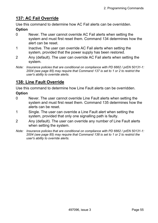## **137: AC Fail Override**

Use this command to determine how AC Fail alerts can be overridden.

#### **Option**

- 0 Never. The user cannot override AC Fail alerts when setting the system and must first reset them. Command 134 determines how the alert can be reset.
- 1 Inactive. The user can override AC Fail alerts when setting the system, provided that the power supply has been restored.
- 2 Any (default). The user can override AC Fail alerts when setting the system.
- *Note: Insurance policies that are conditional on compliance with PD 6662 / prEN 50131-1: 2004 (see page 85) may require that Command 137 is set to 1 or 2 to restrict the user's ability to override alerts.*

### **138: Line Fault Override**

Use this command to determine how Line Fault alerts can be overridden.

- 0 Never. The user cannot override Line Fault alerts when setting the system and must first reset them. Command 135 determines how the alerts can be reset.
- 1 Single. The user can override a Line Fault alert when setting the system, provided that only one signalling path is faulty.
- 2 Any (default). The user can override any number of Line Fault alerts when setting the system.
- *Note: Insurance policies that are conditional on compliance with PD 6662 / prEN 50131-1: 2004 (see page 85) may require that Command 138 is set to 1 or 2 to restrict the user's ability to override alerts.*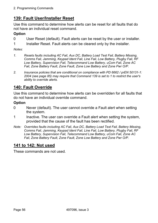# **139: Fault User/Installer Reset**

Use this command to determine how alerts can be reset for all faults that do not have an individual reset command.

### **Option**

- 0 User Reset (default). Fault alerts can be reset by the user or installer.
- 1 Installer Reset. Fault alerts can be cleared only by the installer.

*Notes:* 

- *1. Resets faults including AC Fail, Aux DC, Battery Load Test Fail, Battery Missing, Comms Fail, Jamming, Keypad Ident Fail, Line Fail, Low Battery, Plugby Fail, RF Low Battery, Supervision Fail, Telecommand Low Battery, uCom Fail, Zone AC Fail, Zone Battery Fault, Zone Fault, Zone Low Battery and Zone Pwr O/P.*
- *2. Insurance policies that are conditional on compliance with PD 6662 / prEN 50131-1: 2004 (see page 85) may require that Command 139 is set to 1 to restrict the user's ability to override alerts.*

## **140: Fault Override**

Use this command to determine how alerts can be overridden for all faults that do not have an individual override command.

### **Option**

- 0 Never (default). The user cannot override a Fault alert when setting the system.
- 1 Inactive. The user can override a Fault alert when setting the system, provided that the cause of the fault has been rectified.
- *Note: Overrides faults including AC Fail, Aux DC, Battery Load Test Fail, Battery Missing, Comms Fail, Jamming, Keypad Ident Fail, Line Fail, Low Battery, Plugby Fail, RF Low Battery, Supervision Fail, Telecommand Low Battery, uCom Fail, Zone AC Fail, Zone Battery Fault, Zone Fault, Zone Low Battery and Zone Pwr O/P.*

## **141 to 142: Not used**

These commands are not used.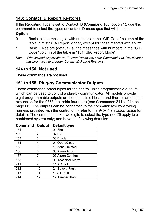## **143: Contact ID Report Restores**

If the Reporting Type is set to Contact ID (Command 103, option 1), use this command to select the types of contact ID messages that will be sent.

### **Option**

- 0 Basic: all the messages with numbers in the "CID Code" column of the table in "131: SIA Report Mode", except for those marked with an " $\ddagger$ ".
- 1 Basic + Restore (default): all the messages with numbers in the "CID Code" column of the table in "131: SIA Report Mode".
- *Note: If the keypad display shows "Custom" when you enter Command 143, Downloader has been used to program Contact ID Report Restores.*

## **144 to 150: Not used**

These commands are not used.

## **151 to 158: Plug-by Communicator Outputs**

These commands select types for the control unit's programmable outputs, which can be used to control a plug-by communicator. All models provide eight programmable outputs on the main circuit board and there is an optional expansion for the 9853 that adds four more (see Commands 211 to 214 on page 68). The outputs can be connected to the communicator by a wiring harness provided with the control unit (refer to the *9x5x Installation Guide* for details). The commands take two digits to select the type (23-26 apply to a partitioned system only) and have the following defaults:

| <b>Command</b> | Output | Default type       |
|----------------|--------|--------------------|
| 151            | 1      | 01 Fire            |
| 152            | 2      | 02 PA              |
| 153            | 3      | 03 Burglar         |
| 154            | 4      | 04 Open/Close      |
| 155            | 5      | 15 Zone Omitted    |
| 156            | 6      | 05 Alarm Abort     |
| 157            | 7      | 07 Alarm Confirm   |
| 158            | 8      | 06 Technical Alarm |
| 211            | 9      | 11 AC Fail         |
| 212            | 10     | 21 Battery Fault   |
| 213            | 11     | 40 All Fault       |
| 214            | 12     | 12 Tamper Alarm    |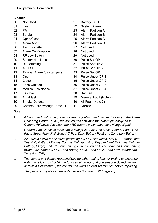| 00                | Not Used                   | 21              | <b>Battery Fault</b>     |
|-------------------|----------------------------|-----------------|--------------------------|
| 01                | Fire                       | 22              | <b>System Alarm</b>      |
| 02                | PA                         | 23              | <b>Alarm Partition A</b> |
| 03                | <b>Burglar</b>             | 24              | <b>Alarm Partition B</b> |
| 04                | Open/Close                 | 25              | <b>Alarm Partition C</b> |
| 05                | Alarm Abort                | 26              | <b>Alarm Partition D</b> |
| 06                | <b>Technical Alarm</b>     | 27              | Not used                 |
| 07                | <b>Alarm Confirmation</b>  | 28              | Not used                 |
| 08                | <b>RF Low Battery</b>      | 29              | Not used                 |
| 09                | <b>Supervision Loss</b>    | 30 <sup>°</sup> | Pulse Set OP 1           |
| 10                | RF Jamming                 | 31              | Pulse Set OP 2           |
| 11                | <b>AC Fail</b>             | 32              | Pulse Set OP 3           |
| $12 \overline{ }$ | Tamper Alarm (day tamper)  | 33              | Pulse Set OP 4           |
| 13                | Open                       | 34              | Pulse Unset OP 1         |
| 14                | Close                      | 35 <sub>o</sub> | Pulse Unset OP 2         |
| 15                | <b>Zone Omitted</b>        | 36              | Pulse Unset OP 3         |
| 16                | <b>Medical Assistance</b>  | 37              | Pulse Unset OP 4         |
| 17                | Key Box                    | 38              | <b>Set Fail</b>          |
| 18                | Anti-Mask                  | 39              | General Fault (Note 2)   |
| 19                | <b>Smoke Detector</b>      | 40              | All Fault (Note 3)       |
| 20                | Comms Acknowledge (Note 1) | 41              | <b>Duress</b>            |
| $\mathbf{A}$      |                            |                 |                          |

- *Notes:*
- *1. If the control unit is using Fast Format signalling, and has sent a Burg to the Alarm Receiving Centre (ARC), the control unit activates the output pin assigned to Comms Acknowledge when the ARC returns a Comms Acknowledge signal.*
- *2. General Fault is active for all faults except AC Fail, Anti-Mask, Battery Fault, Line Fault, Supervision Fail, Zone AC Fail, Zone Battery Fault and Zone Low Battery.*
- *3. All Fault is active for all faults (including AC Fail, Anti-Mask, Aux DC, Battery Load Test Fail, Battery Missing, Comms Fail, Jamming, Keypad Ident Fail, Line Fail, Low Battery, Plugby Fail, RF Low Battery, Supervision Fail, Telecommand Low Battery, uCom Fail, Zone AC Fail, Zone Battery Fault, Zone Fault, Zone Low Battery and Zone Pwr O/P).*
- *4. The control unit delays reporting/logging either mains loss, or exiting engineering with mains loss, by 15-18 min (chosen at random). If you select a Scandinavian default in Command 0, the control unit waits at least 60 minutes before reporting.*
- *5. The plug-by outputs can be tested using Command 92 (page 73).*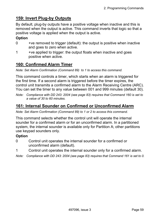## **159: Invert Plug-by Outputs**

By default, plug-by outputs have a positive voltage when inactive and this is removed when the output is active. This command inverts that logic so that a positive voltage is applied when the output is active.

### **Option**

- 0 +ve removed to trigger (default): the output is positive when inactive and goes to zero when active.
- 1 +ve applied to trigger: the output floats when inactive and goes positive when active.

## **160: Confirmed Alarm Timer**

*Note: Set Alarm Confirmation (Command 89) to 1 to access this command.* 

This command controls a timer, which starts when an alarm is triggered for the first time. If a second alarm is triggered before the timer expires, the control unit transmits a confirmed alarm to the Alarm Receiving Centre (ARC). You can set the timer to any value between 001 and 999 minutes (default 30).

*Note: Compliance with DD 243: 2004 (see page 83) requires that Command 160 is set to a value of 30 to 60 minutes.* 

# **161: Internal Sounder on Confirmed or Unconfirmed Alarm**

*Note: Set Alarm Confirmation (Command 89) to 1 or 2 to access this command.* 

This command selects whether the control unit will operate the internal sounder for a confirmed alarm or for an unconfirmed alarm. In a partitioned system, the internal sounder is available only for Partition A; other partitions use keypad sounders only.

- 0 Control unit operates the internal sounder for a confirmed or unconfirmed alarm (default).
- 1 Control unit operates the internal sounder only for a confirmed alarm.
- *Note: Compliance with DD 243: 2004 (see page 83) requires that Command 161 is set to 0.*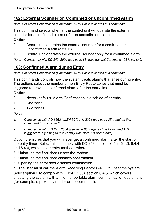# **162: External Sounder on Confirmed or Unconfirmed Alarm**

*Note: Set Alarm Confirmation (Command 89) to 1 or 2 to access this command.* 

This command selects whether the control unit will operate the external sounder for a confirmed alarm or for an unconfirmed alarm.

#### **Option**

- 0 Control unit operates the external sounder for a confirmed or unconfirmed alarm (default).
- 1 Control unit operates the external sounder only for a confirmed alarm.

*Note: Compliance with DD 243: 2004 (see page 83) requires that Command 162 is set to 0.* 

## **163: Confirmed Alarm during Entry**

*Note: Set Alarm Confirmation (Command 89) to 1 or 2 to access this command.* 

This commands controls how the system treats alarms that arise during entry. The options select the number of non-Entry Route zones that must be triggered to provide a confirmed alarm after the entry time.

#### **Option**

- 0 Never (default). Alarm Confirmation is disabled after entry.
- 1 One zone.
- 2 Two zones.

#### *Notes:*

- *1. Compliance with PD 6662 / prEN 50131-1: 2004 (see page 85) requires that Command 163 is set to 0.*
- *2. Compliance with DD 243: 2004 (see page 83) requires that Command 163 is not set to 1 (setting to 0 to comply with Note 1 is acceptable).*

Option 0 ensures that you will never get a confirmed alarm after the start of the entry timer. Select this to comply with DD 243 sections 6.4.2, 6.4.3, 6.4.4 and 6.4.6, which cover entry methods where:

- ° Unlocking the final door unsets the system.
- ° Unlocking the final door disables confirmation.
- ° Opening the entry door disables confirmation.
- ° The user must call the Alarm Receiving Centre (ARC) to unset the system.

Select option 2 to comply with DD243: 2004 section 6.4.5, which covers unsetting the system with an item of portable alarm communication equipment (for example, a proximity reader or telecommand).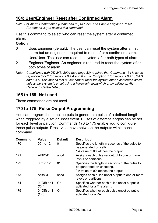## **164: User/Engineer Reset after Confirmed Alarm**

*Note: Set Alarm Confirmation (Command 89) to 1 or 2 and Enable Engineer Reset (Command 33) to access this command.* 

Use this command to select who can reset the system after a confirmed alarm.

### **Option**

- 0 User/Engineer (default). The user can reset the system after a first alarm but an engineer is required to reset after a confirmed alarm.
- 1 User/User. The user can reset the system after both types of alarm.
- 2 Engineer/Engineer. An engineer is required to reset the system after both types of alarm.
- *Note: Compliance with DD 243: 2004 (see page 83) requires that Command 164 is set to (a) option 0 or 2 for sections 6.4.4 and 6.4.5 or (b) option 1 for sections 6.4.2, 6.4.3 and 6.4.6. This means that a user cannot reset the system after a confirmed alarm unless the system is unset using a keyswitch, lockswitch or by calling an Alarm Receiving Centre (ARC).*

## **165 to 169: Not used**

These commands are not used.

### **170 to 175: Pulse Output Programming**

You can program the panel outputs to generate a pulse of a defined length when triggered by a set or unset event. Pulses of different lengths can be set for each level or partition. Commands 170 to 175 enable you to configure these pulse outputs. Press  $\checkmark$  to move between the outputs within each command.

| <b>Command</b> | <b>Value</b>           | <b>Default</b> | <b>Description</b>                                                            |
|----------------|------------------------|----------------|-------------------------------------------------------------------------------|
| 170            | $00*$ to 12            | 01             | Specifies the length in seconds of the pulse to<br>be generated on setting.   |
|                |                        |                | * A value of 00 latches the output.                                           |
| 171            | A/B/C/D                | abcd           | Assigns each pulse set output to one or more<br>levels or partitions.         |
| 172            | $00*$ to 12            | 01             | Specifies the length in seconds of the pulse to<br>be generated on unsetting. |
|                |                        |                | * A value of 00 latches the output.                                           |
| 173            | A/B/C/D                | abcd           | Assigns each pulse unset output to one or more<br>levels or partitions.       |
| 174            | $0$ (Off) or 1<br>(On) | <b>On</b>      | Specifies whether each pulse unset output is<br>activated for a Fire alarm.   |
| 175            | $0$ (Off) or 1<br>(On) | <b>On</b>      | Specifies whether each pulse unset output is<br>activated for a PA.           |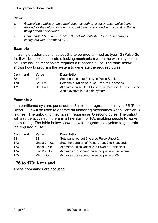#### 2. Programming Commands

#### *Notes:*

- *1. Generating a pulse on an output depends both on a set or unset pulse being defined for the output and on the output being associated with a partition that is being armed or disarmed.*
- *2. Commands 174 (Fire) and 175 (PA) activate only the Pulse Unset outputs configured with Command 172.*

#### **Example 1**

In a single system, panel output 3 is to be programmed as type 12 (Pulse Set 1). It will be used to operate a locking mechanism when the whole system is set. The locking mechanism requires a 6-second pulse. The table below shows how to program the system to generate the required pulse.

| Command | Value        | <b>Description</b>                                                                               |
|---------|--------------|--------------------------------------------------------------------------------------------------|
| 83      | 12           | Sets panel output 3 to type Pulse Set 1.                                                         |
| 170     | Set $1 = 06$ | Sets the duration of Pulse Set 1 to 6 seconds.                                                   |
| 171     | Set $1 = a$  | Allocates Pulse Set 1 to Level or Partition A (which is the<br>whole system in a single system). |

#### **Example 2**

In a partitioned system, panel output 3 is to be programmed as type 35 (Pulse Unset 2). It will be used to operate an unlocking mechanism when Partition B is unset. The unlocking mechanism requires an 8-second pulse. The output will also be activated if there is a Fire alarm or PA, enabling people to leave the building. The table below shows how to program the system to generate the required pulse.

| <b>Command</b> | Value          | <b>Description</b>                                 |
|----------------|----------------|----------------------------------------------------|
| 83             | 31             | Sets panel output 3 to type Pulse Unset 2.         |
| 172            | Unset $2 = 08$ | Sets the duration of Pulse Unset 2 to 8 seconds.   |
| 173            | Unset $2 = b$  | Allocates Pulse Unset 2 to Level or Partition B.   |
| 174            | Fire $2 = On$  | Activates the second pulse output in a Fire alarm. |
| 175            | $PA$ 2 = $On$  | Activates the second pulse output in a PA.         |

#### **176 to 179: Not used**

These commands are not used.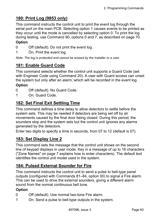# **180: Print Log (9853 only)**

This command instructs the control unit to print the event log through the serial port on the main PCB. Selecting option 1 causes events to be printed as they occur until the mode is cancelled by selecting option 0. To print the log during testing, use Command 90, options 0 and 7, as described on page 70.

#### **Option**

- 0 Off (default). Do not print the event log.
- 1 On. Print the event log.

*Note: The log is protected and cannot be erased by the Installer or a user.* 

### **181: Enable Guard Code**

This command selects whether the control unit supports a Guard Code (set with Engineer Code using Command 20). A user with Guard access can unset the system but only after an alarm, which will be recorded in the event log.

#### **Option**

- 0 Off (default). No Guard Code.
- 1 On. Guard Code.

## **182: Set Final Exit Settling Time**

This command defines a time delay to allow detectors to settle before the system sets. This may be needed if detectors are being set off by air movements caused by the final door being closed. During this period, the sounders stop and the system sets but the control unit ignores any alarms generated by the detectors.

Enter two digits to specify a time in seconds, from 07 to 12 (default is 07).

### **183: Set Display Line 2**

This command sets the message that the control unit shows on the second line of keypad displays in user mode. Key in a message of up to 16 characters ("Zone Names" on page 7 explains how to enter characters). The default text identifies the control unit model used in the system.

## **184: Pulsed External Sounder for Fire**

This command instructs the control unit to send a pulse to bell-type panel outputs (configured with Commands 81–84, option 00) to signal a Fire alarm. This can be used to drive the external sounders, giving a different alarm sound from the normal continuous bell tone.

- 0 Off (default). Use normal two-tone Fire alarm.
- 1 On. Send a pulse to bell-type outputs in the system.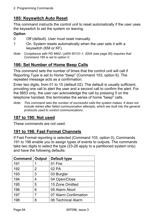# **185: Keyswitch Auto Reset**

This command instructs the control unit to reset automatically if the user uses the keyswitch to set the system on leaving.

### **Option**

- 0 Off (default). User must reset manually.
- 1 On. System resets automatically when the user sets it with a keyswitch (KM or KF).
- *Note: Compliance with PD 6662 / prEN 50131-1: 2004 (see page 85) requires that Command 185 is set to option 0.*

# **186: Set Number of Home Beep Calls**

This command sets the number of times that the control unit will call if Reporting Type is set to Home "beep" (Command 103, option 6). The repeated message acts as a confirmation.

Enter two digits, from 01 to 15 (default 02). The default is usually sufficient, providing one call to alert the user and a second call to confirm the alert. For the 9853 only, the user can acknowledge the call by pressing 5 on the telephone handset; this terminates the series of home "beep" calls.

*Note: This command sets the number of successful calls the system makes. It does not include retries after failed communication attempts, which are built into the general protocols used to control communications.* 

## **187 to 190: Not used**

These commands are not used.

## **191 to 198: Fast Format Channels**

If Fast Format reporting is selected (Command 103, option 0), Commands 191 to 198 enable you to assign types of events to outputs. The commands take two digits to select the type (23-26 apply to a partitioned system only) and have the following defaults:

| <b>Command</b> | Output | <b>Default type</b>   |  |
|----------------|--------|-----------------------|--|
| 191            | 1      | 01 Fire               |  |
| 192            | 2      | 02 PA                 |  |
| 193            | 3      | 03 Burglar            |  |
| 194            | 4      | 04 Open/Close         |  |
| 195            | 5      | 15 Zone Omitted       |  |
| 196            | 6      | 05 Alarm Abort        |  |
| 197            | 7      | 07 Alarm Confirmation |  |
| 198            | 8      | 06 Technical Alarm    |  |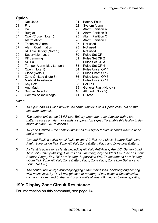#### **Option**

| 00              | <b>Not Used</b>           | 21              | <b>Battery Fault</b>     |
|-----------------|---------------------------|-----------------|--------------------------|
| 01              | Fire                      | 22              | <b>System Alarm</b>      |
| 02              | PA                        | 23              | <b>Alarm Partition A</b> |
| 03              | <b>Burglar</b>            | 24              | <b>Alarm Partition B</b> |
| 04              | Open/Close (Note 1)       | 25              | <b>Alarm Partition C</b> |
| 05              | Alarm Abort               | 26              | <b>Alarm Partition D</b> |
| 06              | <b>Technical Alarm</b>    | 27              | Not used                 |
| 07              | <b>Alarm Confirmation</b> | 28              | Not used                 |
| 08              | RF Low Battery (Note 2)   | 29              | Not used                 |
| 09              | <b>Supervision Loss</b>   | 30 <sup>1</sup> | Pulse Set OP 1           |
| 10              | RF Jamming                |                 | 31 Pulse Set OP 2        |
| 11              | <b>AC Fail</b>            |                 | 32 Pulse Set OP 3        |
| 12 <sub>2</sub> | Tamper Alarm (day tamper) |                 | 33 Pulse Set OP 4        |
| 13              | Open (Note 1)             | 34              | Pulse Unset OP 1         |
| 14              | Close (Note 1)            | 35              | Pulse Unset OP 2         |
| 15              | Zone Omitted (Note 3)     |                 | 36 Pulse Unset OP 3      |
| 16              | <b>Medical Assistance</b> | 37              | Pulse Unset OP 4         |
| 17              | Key Box                   | 38              | <b>Set Fail</b>          |
| 18              | Anti-Mask                 | 39              | General Fault (Note 4)   |
| 19              | <b>Smoke Detector</b>     | 40              | All Fault (Note 5)       |
| 20              | Comms Acknowledge         | 41              | <b>Duress</b>            |

#### *Notes:*

- *1. 13 Open and 14 Close provide the same functions as 4 Open/Close, but on two separate channels.*
- *2. The control unit sends 08 RF Low Battery when the radio detector with a low battery causes an alarm or sends a supervision signal. To enable this facility in day mode set Menu 37 to option 1.*
- 3. 15 Zone Omitted the control unit sends this signal for five seconds when a user *omits a zone.*
- *4. General Fault is active for all faults except AC Fail, Anti-Mask, Battery Fault, Line Fault, Supervision Fail, Zone AC Fail, Zone Battery Fault and Zone Low Battery.*
- *5. All Fault is active for all faults (including AC Fail, Anti-Mask, Aux DC, Battery Load Test Fail, Battery Missing, Comms Fail, Jamming, Keypad Ident Fail, Line Fail, Low Battery, Plugby Fail, RF Low Battery, Supervision Fail, Telecommand Low Battery, uCom Fail, Zone AC Fail, Zone Battery Fault, Zone Fault, Zone Low Battery and Zone Pwr O/P).*
- *6. The control unit delays reporting/logging either mains loss, or exiting engineering with mains loss, by 15-18 min (chosen at random). If you select a Scandinavian country in Command 0, the control unit waits at least 60 minutes before reporting.*

## **199: Display Zone Circuit Resistance**

For information on this command, see page 74.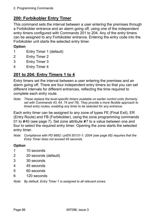## **200: Forbikobler Entry Timer**

This command sets the interval between a user entering the premises through a Forbikobler entrance and an alarm going off, using one of the independent entry timers configured with Commands 201 to 204. Any of the entry timers can be assigned to any Forbikobler entrance. Entering the entry code into the Forbikobler unit starts the selected entry timer.

#### **Option**

- 1 Entry Timer 1 (default)
- 2 Entry Timer 2
- 3 Entry Timer 3
- 4 Entry Timer 4

## **201 to 204: Entry Timers 1 to 4**

Entry timers set the interval between a user entering the premises and an alarm going off. There are four independent entry timers so that you can set different intervals for different entrances, reflecting the time required to complete each entry route.

*Note: These replace the level-specific timers available on earlier control units (formerly set with Commands 43, 64, 74 and 78). They provide a more flexible approach to timed entry routes, enabling any timer to be selected for any entrance.* 

Each entry timer can be assigned to any zone of types FE (Final Exit), ER (Entry Route) and FB (Forbikobler), using the zone programming commands 01 to **X**40 (see page 7). Set zone attribute **X**7 to a value between one and four to select the required entry timer. Opening the zone starts the selected entry timer.

*Note: Compliance with PD 6662 / prEN 50131-1: 2004 (see page 85) requires that the Entry Timer does not exceed 45 seconds.* 

#### **Option**

- 1 10 seconds
- 2 20 seconds (default)
- 3 30 seconds
- 4 45 seconds
- 5 60 seconds
- 6 120 seconds

*Note: By default, Entry Timer 1 is assigned to all relevant zones.*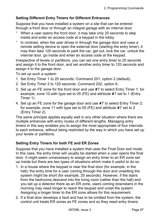#### **Setting Different Entry Timers for Different Entrances**

Suppose that you have installed a system on a site that can be entered through a front door or through an integral garage with an internal door:

- When a user opens the front door, it may take only 20 seconds to step inside and enter an access code at a keypad in the lobby.
- ° In contrast, when the user drives in through the garage door and uses a remote setting device to open the external door (starting the entry timer), it may then take 120 seconds to park the car, get out, lock the car, unlock the internal door, go inside and enter an access code at the keypad.

Irrespective of levels or partitions, you can set one entry timer to 20 seconds and assign it to the front door, and set another entry timer to 120 seconds and assign it to the garage door.

To set up such a system:

- 1. Set Entry Timer 1 to 20 seconds: Command 201, option 2 (default).
- 2. Set Entry Timer 2 to 120 seconds: Command 202, option 6.
- 3. Set up an FE zone for the front door and use X7 to select Entry Timer 1: for example, zone 10 with type set to 05 (FE) and attribute **X**7 set to 1 (Entry Timer 1).
- 4. Set up an FE zone for the garage door and use **X**7 to select Entry Timer 2: for example, zone 11 with type set to 05 (FE) and attribute X7 set to 2 (Entry Timer 2).

The same principle applies equally well in any other situation where there are multiple entrances with entry routes of different lengths. Managing entry timers in this way enables you to assign the most appropriate of four intervals to each entrance, without being restricted by the way in which you have set up your levels or partitions.

#### **Setting Entry Timers for both FE and ER Zones**

Suppose that you have installed a system that uses the Final Door exit mode. In this case, the entry timer will usually be started when a user opens the final door. It might seem unnecessary to assign an entry timer to an ER zone set up inside but there are two types of situations which make it useful to do so.

- 1. In a house where the keypad is near the final door (for example, in the hall), the entry time for a user coming through the door and unsetting the system might be short (for example, 20 seconds). However, if the stairs from the bedrooms descend into the living room (rather than the hall) and you set up a detector there as an ER zone, users coming downstairs in the morning may need longer to reach the keypad and unset the system. Assigning a longer timer to the ER zone allows for this requirement.
- 2. If a final door develops a fault and has to be omitted from the system, the control unit treats ER zones as FE zones and so they need entry timers.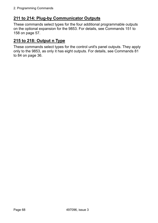## **211 to 214: Plug-by Communicator Outputs**

These commands select types for the four additional programmable outputs on the optional expansion for the 9853. For details, see Commands 151 to 158 on page 57.

#### **215 to 218: Output n Type**

These commands select types for the control unit's panel outputs. They apply only to the 9853, as only it has eight outputs. For details, see Commands 81 to 84 on page 36.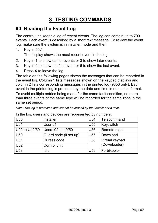# **3. TESTING COMMANDS**

## **90: Reading the Event Log**

The control unit keeps a log of recent events. The log can contain up to 700 events. Each event is described by a short text message. To review the event log, make sure the system is in installer mode and then:

1. Key in 90y.

The display shows the most recent event in the log.

- 2. Key in 1 to show earlier events or 3 to show later events.
- 3. Key in 4 to show the first event or 6 to show the last event.
- 4. Press  $\boldsymbol{\mathsf{X}}$  to leave the log.

The table on the following pages shows the messages that can be recorded in the event log. Column 1 lists messages shown on the keypad displays and column 2 lists corresponding messages in the printed log (9853 only). Each event in the printed log is preceded by the date and time in numerical format.

To avoid multiple entries being made for the same fault condition, no more than three events of the same type will be recorded for the same zone in the same set period.

*Note: The log is protected and cannot be erased by the Installer or a user.* 

| <b>Installer</b>       | U <sub>54</sub> | Telecommand    |
|------------------------|-----------------|----------------|
| User <sub>01</sub>     | U <sub>55</sub> | Keyswitch      |
| Users 02 to 49/50      | U <sub>56</sub> | Remote reset   |
| Guard code (if set up) | <b>U57</b>      | Download       |
| Duress code            | U58             | Virtual keypad |
| Control unit           |                 | (Downloader)   |
| Idle                   | U <sub>59</sub> | Forbikobler    |
|                        |                 |                |

In the log, users and devices are represented by numbers: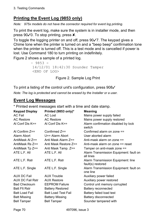### **Printing the Event Log (9853 only)**

*Note: 975x models do not have the connector required for event log printing.* 

To print the event log, make sure the system is in installer mode, and then press  $90\sqrt{0}$ . To stop printing, press  $\bm{x}$ .

To toggle the logging printer on and off, press  $90\sqrt{7}$ . The keypad gives a Chime tone when the printer is turned on and a "beep beep" confirmation tone when the printer is turned off. This is a test mode and is cancelled if power is lost. Use Command 180 to turn printing on indefinitely.

Figure 2 shows a sample of a printed log.

```
-9853 - 14/12/01 18:42:30 Sounder Tamper 
<END OF LOG>
```
Figure 2. Sample Log Print

To print a listing of the control unit's configuration, press  $908\checkmark$ 

*Note: The log is protected and cannot be erased by the Installer or a user.* 

#### **Event Log Messages**

\* Printed event messages start with a time and date stamp.

| <b>Keypad Display</b>   | Printed (9853 only)*       | <b>Meaning</b>                                          |
|-------------------------|----------------------------|---------------------------------------------------------|
| <b>AC Fail</b>          | <b>AC Lost</b>             | Mains power supply failed                               |
| <b>AC Restore</b>       | <b>AC Restore</b>          | Mains power supply restored                             |
| Al Conf Dis K==         | Al Conf Dis K==            | Alarm confirmation disabled by lock<br>switch           |
| Al Confirm $Z ==$       | Confirmed $Z ==$           | Confirmed alarm on zone ==                              |
| Alarm Abort             | $U ==$ Alarm Abort         | User aborted alarm                                      |
| AntiMask Al Z==         | Anti Mask Alarm Z==        | Anti-mask alarm on zone ==                              |
| AntiMask Rs Z==         | Anti Mask Restore Z==      | Anti-mask alarm on zone == reset                        |
| AntiMask Tp Z==         | Anti Mask Tamp. Z==        | Tamper on anti-mask zone ==                             |
| ATE L.F. All            | ATE L.F. All               | Alarm Transmission Equipment: fault on<br>all lines     |
| ATE L.F. Rstr           | ATE L.F. Rstr              | Alarm Transmission Equipment: line<br>fault(s) restored |
| ATE L.F. Single         | ATE L.F. Single            | Alarm Transmission Equipment: fault on<br>one line      |
| <b>AUX DC Fail</b>      | <b>AUX Trouble</b>         | Auxiliary power failed                                  |
| <b>AUX DC Fail Rstr</b> | <b>AUX Restore</b>         | Auxiliary power restored                                |
| <b>Bad Checksum</b>     | <b>EEPROM Failure</b>      | Control unit memory corrupted                           |
| <b>Batt FIt Rstr</b>    | <b>Battery Restored</b>    | <b>Battery reconnected</b>                              |
| <b>Batt Load Fail</b>   | <b>Batt Load Test Fail</b> | Battery failed load test                                |
| <b>Batt Missing</b>     | <b>Battery Missing</b>     | <b>Battery disconnected</b>                             |
| <b>Bell Tamper</b>      | <b>Bell Tamper</b>         | Sounder tampered with                                   |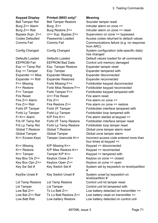3. Testing Commands

#### **Keypad Display Printed (9853 only)\* Meaning**

Exp == Tamp Rst Exp. Tamper Restore Expander tamper reset Expander == Miss Expander Missing Expander disconnected Expander == Rstr Expander Restored Expander reconnected Fire Reset U== Fire Reset Fire alarm reset Fire  $Z ==$  Alarm Fire  $Z ==$  Fire alarm on zone  $==$ 

Bell Tamper Rst Bell Tamper Restore Sounder tamper reset Burg  $Z ==$  Alarm Burg:  $Z ==$  Intruder alarm on zone  $==$ Burg  $Z == Rstr$  Burg Restore  $Z ==$  Intruder alarm on zone  $==$  reset Bypass Supr.  $Z == \text{U == Sup. Bypass } Z == \text{Supervision on zone } == \text{bypassed}$ Codes Defaulted Passwords Loaded Access codes returned to default values Comms Fail Comms Fail Communications failure (e.g. no response from ARC) Config Changed Config Changed System configuration (site-specific data) has changed Defaults Loaded Defaults Loaded Default values loaded for all commands EEPROM Fail EEPROM Bad Data Control unit memory damaged Exp == Tamper Exp. Tamper Expander tampered with F== Missing Forbi Missing F== Forbikobler keypad disconnected F== Restore Forbi Miss Restore F== Forbikobler keypad reconnected F== Tamper Forbi Tamper F== Forbikobler keypad tampered with Fire  $Z == Rstr$  Fire Restore  $Z ==$  Fire alarm on zone == restore Forbi I/F Tamper Forbi I/F Tamper Forbikobler interface tampered with Forbi Lp Tamper Forbi Lp Tamper Forbikobler loop tampered with Fr K== Alarm  $K/P$  Fire K== Fire alarm started at keypad == Frb I/F Tamp Rst Forbi I/F Tamp Restore Forbikobler interface tamper reset Frb Lp Tamp Rst Forbi Lp Tamp Restore Forbikobler loop tamper reset Global T.Restore Global T.Restore Global zone tamper alarm reset Global Tamper Global Tamper Global zone tamper alarm K== Excess Keys Tamper Usercode K== Incorrect access code entered more than four times at keypad  $==$ K== Missing K/P Missing K== Keypad == disconnected K== Restore K/P Miss Restore K== Keypad == reconnected  $K==$  Tamper Tamper K/P  $K==$  Keypad == tampered with Key Box Cls Z== Keybox Close Z== Keybox on zone == closed Key Box Opn Z== Keybox Open Z== Keybox on zone == open Key Sw Set # Key Switch Set # System set by keyswitch on level/partition # KeySw Unset # Key Switch Unset # System unset by keyswitch on level/partition # Lid Tamp Restore Lid Tamp Restore Control unit lid tamper reset Lid Tamper Lid Tamper Control unit lid tampered with Low Bat Z== Tx Lo Batt Z== Low battery detected on transmitter == Low Bat  $Z == Rstr$  Tx Lo Batt Restore  $Z ==$  Low battery reset on transmitter  $==$ Low Batt Rstr Low battery Restore Low battery detected on control unit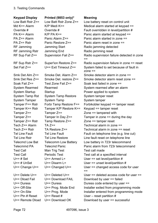#### 3. Testing Commands

#### **Keypad Display Printed (9853 only)\* Meaning**  Low Batt Rstr Z== Low Batt Rstr Zone Z== Low battery reset on control unit Md K== Alarm  $K/P$  Medi K== Medical alarm started at keypad == Override # Override # Fault overridden in level/partition # PA K== Alarm K/P PA K== Panic alarm started at keypad == PA Z== Alarm Panic Alarm Z== Panic alarm started in zone == PA Z== Rstr Panic Restore Z== Panic alarm reset in zone == RF Jamming Start Radio jamming detected RF Jamming Rstr Jamming End Radio jamming reset RF Sup Fail Z== Supervision Fail Z== Radio supervision failure detected in zone == RF Sup Rstr Z== Super'ion Restore Z== Radio supervision failure in zone == reset Set Fail Z== U== Exit Timeout Z== System failed to set because of fault in zone == Smk Det Alm Z== Smoke Det. Alarm Z== Smoke detector alarm in zone == Smk Det Res Z== Smoke Det. restore Z== Smoke detector alarm reset zone == Soak Fail Z== Test Zone Fail Z== Soak test failed in zone == System Rearmed Rearmed System rearmed after an alarm System Startup Startup Startup Startup Power applied to system System Tamp Rst System Tamp Restore System tamper reset System Tamper System Tamp System tamper Tamper F== Rstr Forbi Tamp Restore F== Forbikobler keypad == tamper reset Tamper K== Rstr Tamper K/P Restore K== Keypad == tamper reset Tamper Z== Tamper Z== Tampered with Tamper  $Z ==$  Tamper In Day  $Z ==$  Tamper in zone == during the day Tamper Z== Rstr Tamp Restore Z== Zone == tamper reset Tech Z== Alarm TA Z== Technical alarm in zone == Tech Z== Rstr TA Restore Z== Technical alarm in zone == reset Tel Line Fault Tel Line Fault Fault Fault on telephone line (e.g. line cut) Tel Line Rstr Tel Line Restore Line fault reset on telephone line Telecmd Low Bat Telecomm Low Battery Low battery in 723r telecommand Telecmmd PA Telecmd Panic Panic alarm from 723r telecommand Test Call **Man Trig Test** Test call made Test Call **Periodic Test** Test call at a specified interval U==  $\#$  Set U== Armed L= User == set level/partition  $\#$ U==  $\#$  UnSet U== Disarm L= User == unset level/partition  $\#$ U== Change U== U== Changed U== User == changed access code for user == U== Delete U== U== Deleted U== User == deleted access code for user == U== Dload Fail U== Download FAIL Download by user == failed U== Duress U== Duress Duress code entered by user == U== Off-Site U== Prog. Mode End Installer exited from programming mode U== On-Site U== Prog. Mode Installer entered from programming mode U== Ptn # Reset U== Reset  $#$  User – reset partition  $#$ U== Remote Dload U== Download OK Download by user == successful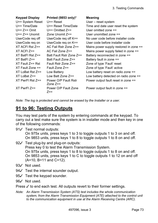| <b>Keypad Display</b><br>U== System Reset<br>$U == Time/Date$<br>$U== Z== Omit$<br>$U == Z ==$ Unomit<br>UserCode req off<br>UserCode reg on<br>$XT$ ACFI Rst $Z ==$<br>$XT$ ACFI $Z ==$<br>$XT$ BatFI Rst $Z ==$<br>$XT$ BatFI $Z ==$<br>$XT$ Fault $Z == Rst$<br>$XT$ Fault Zone $==$<br>$XT$ LoBat Rst $Z ==$<br>$XT$ LoBat $Z ==$<br>$XT$ PwrFl Rst $Z ==$ | Printed (9853 only)*<br>$U ==$ Reset<br>U== Reset Time/Date<br>$U ==$ Omitted $Z ==$<br>Zone Unomit $Z ==$<br>UserCode req off $K ==$<br>UserCode req on K==<br>AC Fail Rstr Zone Z==<br>$AC$ Fail Zone $Z ==$<br>Batt Fault Rstr Zone Z==<br>Batt Fault Zone Z==<br>Fault Rstr Zone Z==<br>Fault Zone Z==<br>Low Battery<br>Low Batt Zone $Z ==$<br>Power O/P Fault Rstr | <b>Meaning</b><br>User – reset system<br>Time and date user reset the system<br>User omitted zone $==$<br>User unomitted zone $==$<br>No user code before installer code<br>User code before installer code<br>Mains power supply restored in zone $==$<br>Mains power supply failed in zone $==$<br>Battery reconnected in zone ==<br>Battery fault in zone ==<br>Zone of type 'Fault' reset<br>Zone of type 'Fault' active<br>Low battery reset on radio zone $==$<br>Low battery detected on radio zone $==$<br>Power output fault reset in zone == |
|----------------------------------------------------------------------------------------------------------------------------------------------------------------------------------------------------------------------------------------------------------------------------------------------------------------------------------------------------------------|---------------------------------------------------------------------------------------------------------------------------------------------------------------------------------------------------------------------------------------------------------------------------------------------------------------------------------------------------------------------------|--------------------------------------------------------------------------------------------------------------------------------------------------------------------------------------------------------------------------------------------------------------------------------------------------------------------------------------------------------------------------------------------------------------------------------------------------------------------------------------------------------------------------------------------------------|
| $XT$ PwrFI $Z ==$                                                                                                                                                                                                                                                                                                                                              | Zone $Z ==$<br>Power O/P Fault Zone                                                                                                                                                                                                                                                                                                                                       | Power output fault in zone ==                                                                                                                                                                                                                                                                                                                                                                                                                                                                                                                          |
|                                                                                                                                                                                                                                                                                                                                                                | $7 =$                                                                                                                                                                                                                                                                                                                                                                     |                                                                                                                                                                                                                                                                                                                                                                                                                                                                                                                                                        |

*Note: The log is protected and cannot be erased by the Installer or a user.* 

## **91 to 96: Testing Outputs**

You may test parts of the system by entering commands at the keypad. To carry out a test make sure the system is in installer mode and then key in one of the following commands:

- 91 $\checkmark$  Test normal outputs: On 975x units, press keys 1 to 3 to toggle outputs 1 to 3 on and off. On 9853 units, press keys 1 to 8 to toggle outputs 1 to 8 on and off.
- $92\checkmark$  Test plug-by and plug-on outputs: Press key 0 to test the Alarm Transmission System. On 975x units, press keys 1 to 8 to toggle outputs 1 to 8 on and off. On 9853 units, press keys 1 to C to toggle outputs 1 to 12 on and off (A=10, B=11 and C=12).
- 93√ Not used.
- 94 $\checkmark$  Test the internal sounder output.
- 95√ Test the keypad sounder.
- 96√ Not used.

Press  $\checkmark$  to end each test. All outputs revert to their former settings.

*Note: An Alarm Transmission System (ATS) test includes the whole communication system, from the Alarm Transmission Equipment (ATE) attached to the control unit to the communication equipment in use at the Alarm Receiving Centre (ARC).*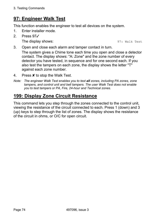# **97: Engineer Walk Test**

This function enables the engineer to test all devices on the system.

- 1. Enter installer mode.
- 2. Press 97y

The display shows:  $97:$  Walk Test

3. Open and close each alarm and tamper contact in turn.

The system gives a Chime tone each time you open and close a detector contact. The display shows: "A: Zone" and the zone number of every detector you have tested, in sequence and for one second each. If you also test the tampers on each zone, the display shows the letter "T" against each zone number.

- 4. Press  $x$  to stop the Walk Test.
- *Note: The engineer Walk Test enables you to test all zones, including PA zones, zone tampers, and control unit and bell tampers. The user Walk Test does not enable you to test tampers or PA, Fire, 24-hour and Technical zones.*

## **199: Display Zone Circuit Resistance**

This command lets you step through the zones connected to the control unit, viewing the resistance of the circuit connected to each. Press 1 (down) and 3 (up) keys to step through the list of zones. The display shows the resistance of the circuit in ohms, or O/C for open circuit.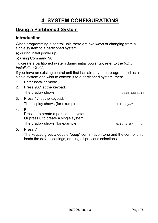# **4. SYSTEM CONFIGURATIONS**

## **Using a Partitioned System**

### **Introduction**

When programming a control unit, there are two ways of changing from a single system to a partitioned system:

- a) during initial power up
- b) using Command 98.

To create a partitioned system during initial power up, refer to the *9x5x Installation Guide*.

If you have an existing control unit that has already been programmed as a single system and wish to convert it to a partitioned system, then:

1. Enter installer mode.

| 2. | Press $98\checkmark$ at the keypad.                                                                                           |              |     |
|----|-------------------------------------------------------------------------------------------------------------------------------|--------------|-----|
|    | The display shows:                                                                                                            | Load Default |     |
| 3. | Press $1\checkmark$ at the keypad.<br>The display shows (for example):                                                        | Mult Sys?    | OFF |
| 4. | Either:<br>Press 1 to create a partitioned system<br>Or press 0 to create a single system<br>The display shows (for example): | Mult Sys?    | ON  |
|    |                                                                                                                               |              |     |

5. Press y.

The keypad gives a double "beep" confirmation tone and the control unit loads the default settings, erasing all previous selections.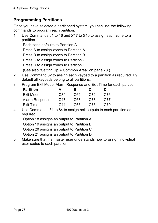## **Programming Partitions**

Once you have selected a partitioned system, you can use the following commands to program each partition:

1. Use Commands 01 to 16 and  $\times$ 17 to  $\times$ 40 to assign each zone to a partition.

Each zone defaults to Partition A.

Press A to assign zones to Partition A.

Press B to assign zones to Partition B.

Press C to assign zones to Partition C.

Press D to assign zones to Partition D.

(See also "Setting Up A Common Area" on page 78.)

2. Use Command 32 to assign each keypad to a partition as required. By default all keypads belong to all partitions.

#### 3. Program Exit Mode, Alarm Response and Exit Time for each partition:

| <b>Partition</b>      | A               | к   | <b>C</b> | Đ   |
|-----------------------|-----------------|-----|----------|-----|
| Exit Mode             | C <sub>39</sub> | C62 | C72      | C76 |
| <b>Alarm Response</b> | C47             | C63 | C73      | C77 |
| Exit Time             | C44             | C65 | C75      | C79 |

4. Use Commands 81 to 84 to assign bell outputs to each partition as required.

Option 18 assigns an output to Partition A

Option 19 assigns an output to Partition B

Option 20 assigns an output to Partition C

Option 21 assigns an output to Partition D

5. Make sure that the master user understands how to assign individual user codes to each partition.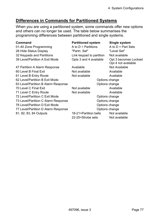## **Differences in Commands for Partitioned Systems**

When you are using a partitioned system, some commands offer new options and others can no longer be used. The table below summarises the programming differences between partitioned and single systems.

| <b>Command</b>                      | <b>Partitioned system</b> | Single system                                |  |
|-------------------------------------|---------------------------|----------------------------------------------|--|
| 01-40 Zone Programming              | A to $D =$ Partitions     | A to $D = Part Sets$                         |  |
| 28 Hide Status Display              | "Partn. Set"              | "Level Set"                                  |  |
| 32 Keypads and Partitions           | Link keypad to partition  | Not available                                |  |
| 39 Level/Partition A Exit Mode      | Opts 3 and 4 available    | Opt 3 becomes Lockset<br>Opt 4 not available |  |
| 47 Partition A Alarm Response       | Available                 | Not Available                                |  |
| 60 Level B Final Exit               | Not available             | Available                                    |  |
| 61 Level B Entry Route              | Not available             | Available                                    |  |
| 62 Level/Partition B Exit Mode      |                           | Options change                               |  |
| 63 Level/Partition B Alarm Response | Options change            |                                              |  |
| 70 Level C Final Exit               | Not available             | Available                                    |  |
| 71 Level C Entry Route              | Not available             | Available                                    |  |
| 72 Level/Partition C Exit Mode      |                           | Options change                               |  |
| 73 Level/Partition C Alarm Response |                           | Options change                               |  |
| 76 Level/Partition D Exit Mode      |                           | Options change                               |  |
| 77 Level/Partition D Alarm Response |                           | Options change                               |  |
| 81, 82, 83, 84 Outputs              | 18-21=Partition bells     | Not available                                |  |
|                                     | 22-25=Strobe sets         | Not available                                |  |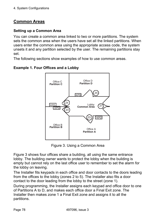## **Common Areas**

#### **Setting up a Common Area**

You can create a common area linked to two or more partitions. The system sets the common area when the users have set all the linked partitions. When users enter the common area using the appropriate access code, the system unsets it and any partition selected by the user. The remaining partitions stay set.

The following sections show examples of how to use common areas.



**Example 1. Four Offices and a Lobby** 

Figure 3. Using a Common Area

Figure 3 shows four offices share a building, all using the same entrance lobby. The building owner wants to protect the lobby when the building is empty but cannot rely on the last office user to remember to set the alarm for the lobby on leaving.

The Installer fits keypads in each office and door contacts to the doors leading from the offices to the lobby (zones 2 to 5). The Installer also fits a door contact to the door leading from the lobby to the street (zone 1).

During programming, the Installer assigns each keypad and office door to one of Partitions A to D, and makes each office door a Final Exit zone. The Installer then makes zone 1 a Final Exit zone and assigns it to all the partitions.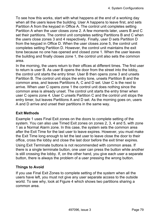To see how this works, start with what happens at the end of a working day when all the users leave the building. User A happens to leave first, and sets Partition A from the keypad in Office A. The control unit completes setting Partition A when the user closes zone 2. A few moments later, users B and C set their partitions. The control unit completes setting Partitions B and C when the users close zones 3 and 4 respectively. Finally, user D sets Partition D from the keypad in Office D. When the user closes zone 5, the control unit completes setting Partition D. However, the control unit maintains the exit tone because no one has opened and closed zone 1. When the user leaves the building and finally closes zone 1, the control unit also sets the common area.

In the morning, the users return to their offices at different times. The first user to return is user B. As user B opens the door from the street into the lobby, the control unit starts the entry timer. User B then opens zone 3 and unsets Partition B. The control unit stops the entry tone, unsets Partition B and the common area, and leaves Partitions A, C and D set. User C is the next to arrive. When user C opens zone 1 the control unit does nothing since the common area is already unset. The control unit starts the entry timer when user C opens zone 4. User C unsets Partition C and the control unit stops the entry timer, but leaves Partitions A and D set. As the morning goes on, users A and D arrive and unset their partitions in the same way.

#### **Exit Methods**

Example 1 uses Final Exit zones on the doors to complete setting of the system. You can also use Timed Exit zones on zones 2, 3, 4 and 5, with zone 1 as a Normal Alarm zone. In this case, the system sets the common area after the Exit Time for the last user to leave expires. However, you must make the Exit Time long enough to let the last user to leave close the door to their office, cross the lobby and close the last door before the exit timer expires. Using Exit Terminate buttons is not recommended with common areas. If there is a single terminate button, one user can press the button while another is still crossing the lobby. If, on the other hand, you give each user a separate button, there is always the problem of a user pressing the wrong button.

#### **Things to Avoid**

If you use Final Exit Zones to complete setting of the system when all the users have left, you must not give any user separate access to the outside world. To see why, look at Figure 4 which shows two partitions sharing a common area.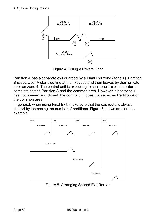4. System Configurations



Figure 4. Using a Private Door

Partition A has a separate exit guarded by a Final Exit zone (zone 4). Partition B is set. User A starts setting at their keypad and then leaves by their private door on zone 4. The control unit is expecting to see zone 1 close in order to complete setting Partition A and the common area. However, since zone 1 has not opened and closed, the control unit does not set either Partition A or the common area.

In general, when using Final Exit, make sure that the exit route is always shared by increasing the number of partitions. Figure 5 shows an extreme example.



Figure 5. Arranging Shared Exit Routes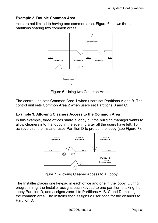#### **Example 2. Double Common Area**

You are not limited to having one common area. Figure 6 shows three partitions sharing two common areas.



Figure 6. Using two Common Areas

The control unit sets Common Area 1 when users set Partitions A and B. The control unit sets Common Area 2 when users set Partitions B and C.

#### **Example 3. Allowing Cleaners Access to the Common Area**

In this example, three offices share a lobby but the building manager wants to allow cleaners into the lobby in the evening after all the users have left. To achieve this, the Installer uses Partition D to protect the lobby (see Figure 7).



Figure 7. Allowing Cleaner Access to a Lobby

The Installer places one keypad in each office and one in the lobby. During programming, the Installer assigns each keypad to one partition, making the lobby Partition D, and assigns zone 1 to Partitions A, B, C and D, making it the common area. The Installer then assigns a user code for the cleaners to Partition D.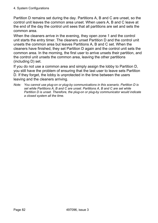Partition D remains set during the day. Partitions A, B and C are unset, so the control unit leaves the common area unset. When users A, B and C leave at the end of the day the control unit sees that all partitions are set and sets the common area.

When the cleaners arrive in the evening, they open zone 1 and the control unit starts the entry timer. The cleaners unset Partition D and the control unit unsets the common area but leaves Partitions A, B and C set. When the cleaners have finished, they set Partition D again and the control unit sets the common area. In the morning, the first user to arrive unsets their partition, and the control unit unsets the common area, leaving the other partitions (including D) set.

If you do not use a common area and simply assign the lobby to Partition D, you still have the problem of ensuring that the last user to leave sets Partition D. If they forget, the lobby is unprotected in the time between the users leaving and the cleaners arriving.

*Note: You cannot use plug-on or plug-by communications in this scenario. Partition D is set while Partitions A, B and C are unset. Partitions A, B and C are set while Partition D is unset. Therefore, the plug-on or plug-by communicator would indicate a closed system all the time.*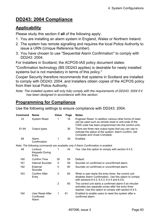## **DD243: 2004 Compliance**

## **Applicability**

Please study this section if **all** of the following apply:

- 1. You are installing an alarm system in England, Wales or Northern Ireland.
- 2. The system has remote signalling and requires the local Police Authority to issue a URN (Unique Reference Number).
- 3. You have chosen to use "Sequential Alarm Confirmation" to comply with DD243: 2004.

For Installers in Scotland, the ACPOS-IAS policy document states:

"Confirmation technology (BS DD243 applies) is desirable for newly installed systems but is not mandatory in terms of this policy."

Cooper Security therefore recommends that systems in Scotland are installed to comply with DD243: 2004, and Installers obtain copies of the ACPOS policy from their local Police Authority.

*Note: The installed system will only fully comply with the requirements of DD243: 2004 if it has been designed in accordance with this section.* 

## **Programming for Compliance**

Use the following settings to ensure compliance with DD243: 2004.

| Command | <b>Name</b>                               | Value          | Page | <b>Notes</b>                                                                                                                                                               |
|---------|-------------------------------------------|----------------|------|----------------------------------------------------------------------------------------------------------------------------------------------------------------------------|
| 33      | <b>System Reset</b>                       | 1              | 18   | Engineer Reset. In addition various other forms of reset<br>can be used such as remote reset or anti-code (if the<br>CSID code has been programmed into the control unit). |
| 81-84   | Output types                              |                | 36   | There are three new output types that you can use to<br>indicate the status of the system: Alarm Confirm, Set<br>Complete and Unset Complete.                              |
| 89      | Alarm<br>Confirmation                     | 1              | 39   | Enabled                                                                                                                                                                    |
|         |                                           |                |      | Note: The following commands are available only if Alarm Confirmation is enabled.                                                                                          |
| 48      | Lockout<br><b>Keypads During</b><br>Entry | 1              | 24   | Yes. Use this option to comply with section 6.4.5.                                                                                                                         |
| 160     | Confirm Time                              | 30             | 59   | Default.                                                                                                                                                                   |
| 161     | Internal Sounder                          | $\mathbf{0}$   | 59   | Sounder on confirmed or unconfirmed alarm.                                                                                                                                 |
| 162     | External<br>Sounder                       | $\mathbf{0}$   | 60   | Sounder on confirmed or unconfirmed alarm.                                                                                                                                 |
| 163     | Confirm After<br>Entry                    | $\mathbf{0}$   | 60   | When a user starts the entry timer, the control unit<br>disables Alarm Confirmation. Use this option to comply<br>with sections 6.4.2, 6.4.3, 6.4.4 and 6.4.6.             |
|         |                                           | $\overline{2}$ | 60   | The control unit starts a confirmed alarm if an intruder<br>activates two separate zones after the entry timer<br>expires. Use this option to comply with section 6.4.5.   |
| 164     | User Reset After<br>Confirmed<br>Alarm    | 1              | 61   | Enabled to enable users to reset the system after a<br>confirmed alarm.                                                                                                    |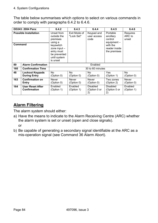#### 4. System Configurations

The table below summarises which options to select on various commands in order to comply with paragraphs 6.4.2 to 6.4.6.

|         | DD243: 2004 Para:                             | 6.4.2                                                                                                                                   | 6.4.3                      | 6.4.4                                 | 6.4.5                                                                                        | 6.4.6                       |
|---------|-----------------------------------------------|-----------------------------------------------------------------------------------------------------------------------------------------|----------------------------|---------------------------------------|----------------------------------------------------------------------------------------------|-----------------------------|
| Command | <b>Possible Installation</b>                  | Unset from<br>outside the<br>premises<br>using a<br>keyswitch<br>zone input -<br>entry must<br>be prevented<br>until system<br>is unset | Exit Mode of<br>"Lock Set" | Keypad and<br>user access<br>code     | Portable<br>ancillary<br>control<br>equipment -<br>with the<br>reader inside<br>the premises | Requires<br>ARC to<br>unset |
| 89      | <b>Alarm Confirmation</b>                     |                                                                                                                                         |                            | Enabled                               |                                                                                              |                             |
| 160     | <b>Confirmation Time</b>                      |                                                                                                                                         |                            | 30 to 60 minutes                      |                                                                                              |                             |
| 48      | <b>Lockout Keypads</b><br><b>During Entry</b> | <b>No</b><br>(Option 0)                                                                                                                 | No<br>(Option 0)           | No<br>(Option 0)                      | Yes<br>(Option 1)                                                                            | No<br>(Option 0)            |
| 163     | <b>Confirmation on</b><br>Entry               | Never<br>(Option 0)                                                                                                                     | Never<br>(Option 0)        | Never<br>(Option 0)                   | Two zones<br>(Option 2)                                                                      | <b>Never</b><br>(Option 0)  |
| 164     | <b>User Reset After</b><br>Confirmation       | Enabled<br>(Option 1)                                                                                                                   | Enabled<br>(Option 1)      | <b>Disabled</b><br>(Option 0 or<br>2) | <b>Disabled</b><br>(Option 0 or<br>2)                                                        | Enabled<br>(Option 1)       |

## **Alarm Filtering**

The alarm system should either:

- a) Have the means to indicate to the Alarm Receiving Centre (ARC) whether the alarm system is set or unset (open and close signals). or
- b) Be capable of generating a secondary signal identifiable at the ARC as a mis-operation signal (see Command 36 Alarm Abort).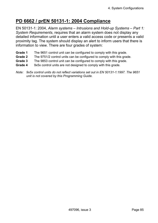## **PD 6662 / prEN 50131-1: 2004 Compliance**

EN 50131-1: 2004, *Alarm systems – Intrusions and Hold-up Systems – Part 1: System Requirements*, requires that an alarm system does not display any detailed information until a user enters a valid access code or presents a valid proximity tag. The system should display an alert to inform users that there is information to view. There are four grades of system:

- **Grade 1** The 9651 control unit can be configured to comply with this grade.
- **Grade 2** The 9751/2 control units can be configured to comply with this grade.
- **Grade 3** The 9853 control unit can be configured to comply with this grade.
- **Grade 4** 9x5x control units are not designed to comply with this grade.
- *Note: 9x5x control units do not reflect variations set out in EN 50131-1:1997. The 9651 unit is not covered by this Programming Guide.*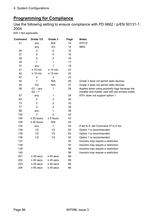## **Programming for Compliance**

Use the following setting to ensure compliance with PD 6662 / prEN 50131-1: 2004.

N/A = Not applicable

| Command | Grade 1/2              | Grade 3        | Page | <b>Notes</b>                                                                                      |
|---------|------------------------|----------------|------|---------------------------------------------------------------------------------------------------|
| 21      | any                    | N/A            | 14   | 9751/2                                                                                            |
|         | any                    | 2/3            | 14   | 9853                                                                                              |
| 26      | $\mathbf 0$            | 0              | 15   |                                                                                                   |
| 27      | 0                      | $\mathbf 0$    | 16   |                                                                                                   |
| 28      | $\overline{2}$         | $\overline{2}$ | 16   |                                                                                                   |
| 29      | 1                      | 1              | 17   |                                                                                                   |
| 37      | any                    | 1              | 19   |                                                                                                   |
| 41      | $\leq 10$ min          | $\leq 10$ min  | 22   |                                                                                                   |
| 42      | $\leq 15$ min          | $\leq 15$ min  | 22   |                                                                                                   |
| 47      | $\overline{2}$         | $\overline{2}$ | 23   |                                                                                                   |
| 54      | 1                      | N/A            | 26   | Grade 3 does not permit radio devices                                                             |
| 55      | 0/2                    | N/A            | 27   | Grade 3 does not permit radio devices                                                             |
| 56      | $G1 - any$<br>$G2 - 1$ | 1              | 28   | Applies when using proximity tags because the<br>installer and master user still use access codes |
| 57      | any                    | 1              | 28   | 9751 does not support option 1                                                                    |
| 63      | $\overline{2}$         | $\overline{2}$ | 30   |                                                                                                   |
| 73      | $\overline{2}$         | $\overline{2}$ | 33   |                                                                                                   |
| 77      | $\overline{2}$         | $\overline{2}$ | 35   |                                                                                                   |
| 88      | any                    | 1              | 39   |                                                                                                   |
| 102     | $\overline{2}$         | $\overline{2}$ | 42   |                                                                                                   |
| 105     | $\leq$ 25 hours        | $\leq$ 5 hours | 43   |                                                                                                   |
| 108     | $\leq$ 25 hours        | N/A            | 44   |                                                                                                   |
| 132     | any                    | 1              | 53   | If set to 0, set Command 37 to 0 too                                                              |
| 134     | 1/2                    | 1/2            | 54   | Option 1 is recommended                                                                           |
| 135     | 1/2                    | 1/2            | 54   | Option 1 is recommended                                                                           |
| 136     | 1/2                    | 1/2            | 54   | Option 1 is recommended                                                                           |
| 137     |                        |                | 55   | Insurers may require a restriction                                                                |
| 138     |                        |                | 55   | Insurers may require a restriction                                                                |
| 139     |                        |                | 56   | Insurers may require a restriction                                                                |
| 140     |                        |                | 56   | Insurers may require a restriction                                                                |
| 201     | $\leq$ 45 secs         | $\leq$ 45 secs | 66   |                                                                                                   |
| 202     | $\leq$ 45 secs         | $\leq$ 45 secs | 66   |                                                                                                   |
| 203     | $\leq$ 45 secs         | $\leq$ 45 secs | 66   |                                                                                                   |
| 204     | $\leq 45$ secs         | $\leq$ 45 secs | 66   |                                                                                                   |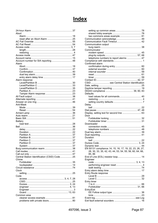# **Index**

| Abort                                         |  |
|-----------------------------------------------|--|
|                                               |  |
|                                               |  |
|                                               |  |
|                                               |  |
|                                               |  |
|                                               |  |
|                                               |  |
|                                               |  |
|                                               |  |
| Account number for SIA reporting 48           |  |
| Alarm                                         |  |
|                                               |  |
|                                               |  |
|                                               |  |
|                                               |  |
|                                               |  |
|                                               |  |
| Alarm response                                |  |
|                                               |  |
|                                               |  |
|                                               |  |
|                                               |  |
|                                               |  |
|                                               |  |
|                                               |  |
|                                               |  |
| Anti-Mask                                     |  |
|                                               |  |
|                                               |  |
|                                               |  |
|                                               |  |
|                                               |  |
|                                               |  |
|                                               |  |
| <b>Battery</b>                                |  |
|                                               |  |
|                                               |  |
|                                               |  |
|                                               |  |
|                                               |  |
|                                               |  |
|                                               |  |
|                                               |  |
|                                               |  |
|                                               |  |
|                                               |  |
|                                               |  |
| Central Station Identification (CSID) Code 25 |  |
| Chime                                         |  |
|                                               |  |
|                                               |  |
|                                               |  |
| Clock                                         |  |
|                                               |  |
| Code                                          |  |
|                                               |  |
|                                               |  |
|                                               |  |
|                                               |  |
|                                               |  |
|                                               |  |
|                                               |  |
| Common area                                   |  |
|                                               |  |

| two commons areas example 81                            |  |
|---------------------------------------------------------|--|
|                                                         |  |
|                                                         |  |
| Communication output                                    |  |
|                                                         |  |
| Communicator                                            |  |
|                                                         |  |
|                                                         |  |
| telephone numbers to report alarms  47                  |  |
|                                                         |  |
| Confirmed alarm                                         |  |
|                                                         |  |
|                                                         |  |
|                                                         |  |
|                                                         |  |
|                                                         |  |
|                                                         |  |
| CSID  see Central Station Identification                |  |
|                                                         |  |
|                                                         |  |
|                                                         |  |
| Defaults                                                |  |
| load values for all commands 40                         |  |
|                                                         |  |
|                                                         |  |
| Delay                                                   |  |
|                                                         |  |
|                                                         |  |
| Display, setting text for second line  63               |  |
| Door                                                    |  |
|                                                         |  |
|                                                         |  |
| Downloader                                              |  |
|                                                         |  |
|                                                         |  |
|                                                         |  |
|                                                         |  |
| Duration                                                |  |
|                                                         |  |
|                                                         |  |
|                                                         |  |
| EN 50131 compliance.14, 15, 16, 17, 19, 22, 23, 26, 27, |  |
|                                                         |  |
| 28, 30, 33, 35, 42, 43, 44, 53, 54, 55, 56, 60, 64, 66, |  |
| 85, 86                                                  |  |
|                                                         |  |
| Engineer                                                |  |
|                                                         |  |
|                                                         |  |
|                                                         |  |
|                                                         |  |
| Entry Route response                                    |  |
|                                                         |  |
|                                                         |  |
| Entry timer                                             |  |
|                                                         |  |
|                                                         |  |
| Entry/Exit                                              |  |
|                                                         |  |
|                                                         |  |
|                                                         |  |
|                                                         |  |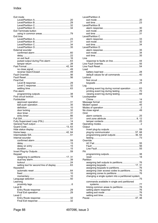| Exit mode                    |  |
|------------------------------|--|
|                              |  |
|                              |  |
|                              |  |
|                              |  |
| <b>Exit Terminate button</b> |  |
|                              |  |
| Exit time                    |  |
|                              |  |
|                              |  |
|                              |  |
| External sounder             |  |
|                              |  |
|                              |  |
|                              |  |
|                              |  |
|                              |  |
|                              |  |
|                              |  |
|                              |  |
|                              |  |
|                              |  |
| <b>Final Exit</b>            |  |
|                              |  |
|                              |  |
| Fire alarm                   |  |
|                              |  |
|                              |  |
| Forbikobler                  |  |
|                              |  |
|                              |  |
|                              |  |
|                              |  |
|                              |  |
|                              |  |
|                              |  |
|                              |  |
|                              |  |
|                              |  |
|                              |  |
|                              |  |
| Internal sounder             |  |
|                              |  |
|                              |  |
|                              |  |
|                              |  |
|                              |  |
| Keypad                       |  |
|                              |  |
|                              |  |
|                              |  |
|                              |  |
| Keyswitch                    |  |
|                              |  |
|                              |  |
|                              |  |
|                              |  |
| Learning                     |  |
| Level B                      |  |
|                              |  |
|                              |  |
| Level C                      |  |
|                              |  |
|                              |  |
|                              |  |

| Level/Partition A                                  |  |
|----------------------------------------------------|--|
|                                                    |  |
|                                                    |  |
| Level/Partition B                                  |  |
|                                                    |  |
|                                                    |  |
|                                                    |  |
| Level/Partition C                                  |  |
|                                                    |  |
|                                                    |  |
|                                                    |  |
| I evel/Partition D                                 |  |
|                                                    |  |
|                                                    |  |
|                                                    |  |
| Line                                               |  |
|                                                    |  |
|                                                    |  |
| Load                                               |  |
|                                                    |  |
| default values for all commands  40                |  |
| Lockout                                            |  |
|                                                    |  |
|                                                    |  |
| Log                                                |  |
| printing event log during normal operation  63     |  |
|                                                    |  |
|                                                    |  |
| Loudspeaker                                        |  |
|                                                    |  |
|                                                    |  |
|                                                    |  |
|                                                    |  |
|                                                    |  |
| Omit                                               |  |
|                                                    |  |
|                                                    |  |
|                                                    |  |
|                                                    |  |
|                                                    |  |
| Output                                             |  |
|                                                    |  |
|                                                    |  |
| programming panel outputs 36, 64                   |  |
|                                                    |  |
| Override                                           |  |
|                                                    |  |
|                                                    |  |
| PA                                                 |  |
|                                                    |  |
|                                                    |  |
| Partition                                          |  |
|                                                    |  |
|                                                    |  |
|                                                    |  |
| assigning User access codes to partitions 76       |  |
|                                                    |  |
| changing a single system into a partitioned system |  |
|                                                    |  |
| commands available in single and partitioned       |  |
|                                                    |  |
|                                                    |  |
|                                                    |  |
|                                                    |  |
|                                                    |  |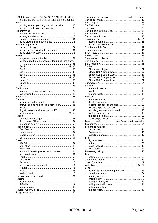| PD6662 compliance  14, 15, 16, 17, 19, 22, 23, 26, 27,<br>28, 30, 33, 35, 42, 43, 44, 53, 54, 55, 56, 60, 64, 66<br>Print |
|---------------------------------------------------------------------------------------------------------------------------|
| printing event log during normal operation  63                                                                            |
| Programming                                                                                                               |
|                                                                                                                           |
|                                                                                                                           |
|                                                                                                                           |
| Proximity tag reader                                                                                                      |
|                                                                                                                           |
| non-approved Forbikobler operation 31                                                                                     |
| Pulse                                                                                                                     |
|                                                                                                                           |
| pulsed output to external sounder during Fire alarm                                                                       |
|                                                                                                                           |
|                                                                                                                           |
|                                                                                                                           |
|                                                                                                                           |
|                                                                                                                           |
|                                                                                                                           |
|                                                                                                                           |
|                                                                                                                           |
| Radio zone                                                                                                                |
| response to supervision failure 27                                                                                        |
|                                                                                                                           |
|                                                                                                                           |
| Remote                                                                                                                    |
| answer on one ring call from remote PC  46                                                                                |
|                                                                                                                           |
| rings to answer call from remote PC 46                                                                                    |
|                                                                                                                           |
| Report                                                                                                                    |
|                                                                                                                           |
|                                                                                                                           |
|                                                                                                                           |
|                                                                                                                           |
|                                                                                                                           |
|                                                                                                                           |
|                                                                                                                           |
| Reset                                                                                                                     |
|                                                                                                                           |
|                                                                                                                           |
| automatic resetting of keyswitch zones  64                                                                                |
|                                                                                                                           |
|                                                                                                                           |
|                                                                                                                           |
|                                                                                                                           |
|                                                                                                                           |
|                                                                                                                           |
|                                                                                                                           |
|                                                                                                                           |
| Restore                                                                                                                   |
|                                                                                                                           |
|                                                                                                                           |
|                                                                                                                           |
|                                                                                                                           |
|                                                                                                                           |

| Scancom Fast Format  see Fast Format   |  |
|----------------------------------------|--|
|                                        |  |
|                                        |  |
|                                        |  |
|                                        |  |
|                                        |  |
|                                        |  |
|                                        |  |
|                                        |  |
|                                        |  |
|                                        |  |
|                                        |  |
|                                        |  |
|                                        |  |
|                                        |  |
|                                        |  |
|                                        |  |
| <b>Strobe</b>                          |  |
|                                        |  |
|                                        |  |
|                                        |  |
|                                        |  |
|                                        |  |
|                                        |  |
| System                                 |  |
|                                        |  |
|                                        |  |
|                                        |  |
| Tamper                                 |  |
|                                        |  |
|                                        |  |
|                                        |  |
|                                        |  |
|                                        |  |
|                                        |  |
|                                        |  |
| Telecommand see Remote setting device  |  |
|                                        |  |
| Telephone number                       |  |
|                                        |  |
|                                        |  |
|                                        |  |
| Test                                   |  |
|                                        |  |
|                                        |  |
|                                        |  |
|                                        |  |
|                                        |  |
| Time                                   |  |
|                                        |  |
|                                        |  |
|                                        |  |
| Zone                                   |  |
| assigning zone types to partitions  13 |  |
|                                        |  |
|                                        |  |
|                                        |  |
|                                        |  |
|                                        |  |
|                                        |  |
|                                        |  |
|                                        |  |